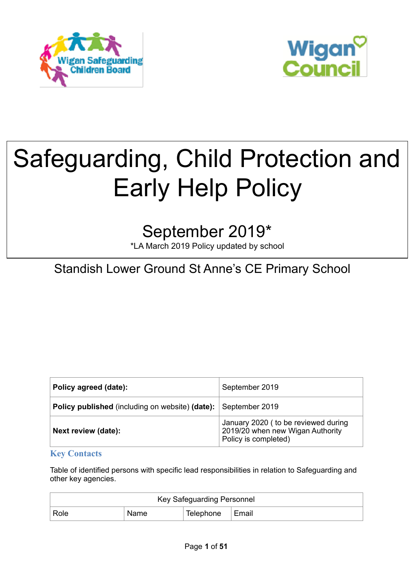



# Safeguarding, Child Protection and Early Help Policy

# September 2019\*

\*LA March 2019 Policy updated by school

## Standish Lower Ground St Anne's CE Primary School

| Policy agreed (date):                                  | September 2019                                                                                   |
|--------------------------------------------------------|--------------------------------------------------------------------------------------------------|
| <b>Policy published</b> (including on website) (date): | September 2019                                                                                   |
| Next review (date):                                    | January 2020 ( to be reviewed during<br>2019/20 when new Wigan Authority<br>Policy is completed) |

#### **Key Contacts**

Table of identified persons with specific lead responsibilities in relation to Safeguarding and other key agencies.

| Key Safeguarding Personnel |      |                   |  |  |
|----------------------------|------|-------------------|--|--|
| Role                       | Name | Telephone   Email |  |  |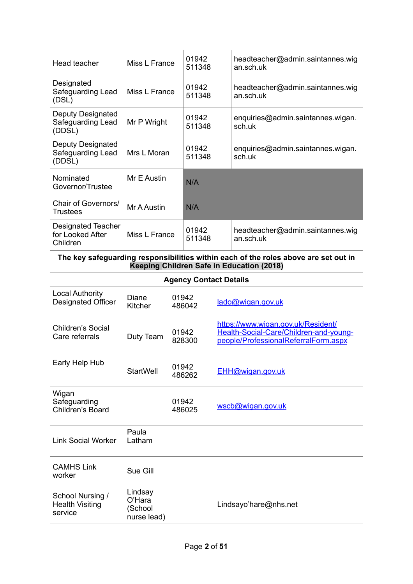| Head teacher                                              | Miss L France                               | 01942<br>511348 |                               |  | headteacher@admin.saintannes.wig<br>an.sch.uk                                                                                    |  |
|-----------------------------------------------------------|---------------------------------------------|-----------------|-------------------------------|--|----------------------------------------------------------------------------------------------------------------------------------|--|
| Designated<br>Safeguarding Lead<br>(DSL)                  | Miss L France                               |                 | 01942<br>511348               |  | headteacher@admin.saintannes.wig<br>an.sch.uk                                                                                    |  |
| Deputy Designated<br>Safeguarding Lead<br>(DDSL)          | Mr P Wright                                 |                 | 01942<br>511348               |  | enquiries@admin.saintannes.wigan.<br>sch.uk                                                                                      |  |
| Deputy Designated<br>Safeguarding Lead<br>(DDSL)          | Mrs L Moran                                 |                 | 01942<br>511348               |  | enquiries@admin.saintannes.wigan.<br>sch.uk                                                                                      |  |
| Nominated<br>Governor/Trustee                             | Mr E Austin                                 |                 | N/A                           |  |                                                                                                                                  |  |
| Chair of Governors/<br><b>Trustees</b>                    | Mr A Austin                                 |                 | N/A                           |  |                                                                                                                                  |  |
| <b>Designated Teacher</b><br>for Looked After<br>Children | Miss L France                               |                 | 01942<br>511348               |  | headteacher@admin.saintannes.wig<br>an.sch.uk                                                                                    |  |
|                                                           |                                             |                 |                               |  | The key safeguarding responsibilities within each of the roles above are set out in<br>Keeping Children Safe in Education (2018) |  |
|                                                           |                                             |                 | <b>Agency Contact Details</b> |  |                                                                                                                                  |  |
| <b>Local Authority</b><br><b>Designated Officer</b>       | Diane<br><b>Kitcher</b>                     |                 | 01942<br>486042               |  | lado@wigan.gov.uk                                                                                                                |  |
| Children's Social<br>Care referrals                       | Duty Team                                   | 01942<br>828300 |                               |  | https://www.wigan.gov.uk/Resident/<br>Health-Social-Care/Children-and-young-<br>people/ProfessionalReferralForm.aspx             |  |
| Early Help Hub                                            | <b>StartWell</b>                            | 01942<br>486262 |                               |  | EHH@wigan.gov.uk                                                                                                                 |  |
| Wigan<br>Safeguarding<br>Children's Board                 |                                             | 01942<br>486025 |                               |  | wscb@wigan.gov.uk                                                                                                                |  |
| <b>Link Social Worker</b>                                 | Paula<br>Latham                             |                 |                               |  |                                                                                                                                  |  |
| <b>CAMHS Link</b><br>worker                               | Sue Gill                                    |                 |                               |  |                                                                                                                                  |  |
| School Nursing /<br><b>Health Visiting</b><br>service     | Lindsay<br>O'Hara<br>(School<br>nurse lead) |                 |                               |  | Lindsayo'hare@nhs.net                                                                                                            |  |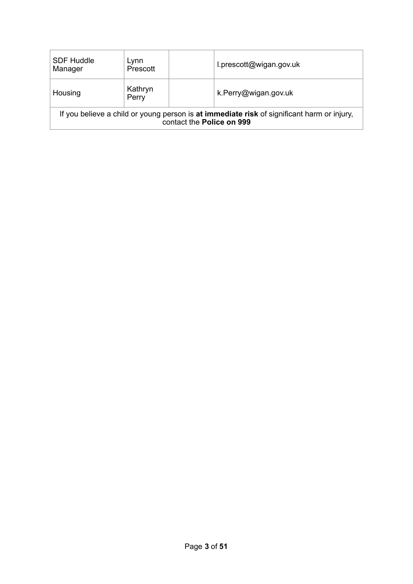| <b>SDF Huddle</b><br>Manager                                                                                            | Lynn<br>Prescott |  | l.prescott@wigan.gov.uk |
|-------------------------------------------------------------------------------------------------------------------------|------------------|--|-------------------------|
| Housing                                                                                                                 | Kathryn<br>Perry |  | k.Perry@wigan.gov.uk    |
| If you believe a child or young person is at immediate risk of significant harm or injury,<br>contact the Police on 999 |                  |  |                         |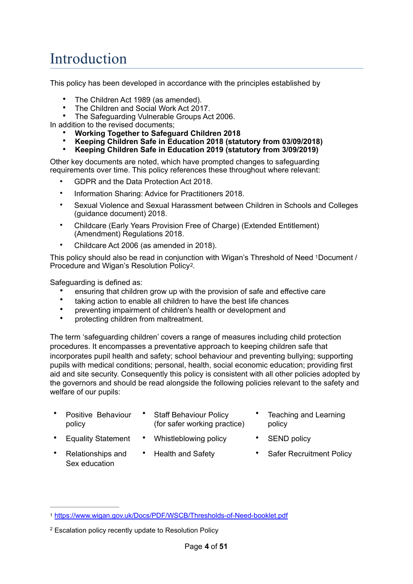# Introduction

This policy has been developed in accordance with the principles established by

- The Children Act 1989 (as amended).
- The Children and Social Work Act 2017.
- The Safeguarding Vulnerable Groups Act 2006.

In addition to the revised documents;

- **Working Together to Safeguard Children 2018**
- **Keeping Children Safe in Education 2018 (statutory from 03/09/2018)**
- **Keeping Children Safe in Education 2019 (statutory from 3/09/2019)**

Other key documents are noted, which have prompted changes to safeguarding requirements over time. This policy references these throughout where relevant:

- GDPR and the Data Protection Act 2018.
- Information Sharing: Advice for Practitioners 2018.
- Sexual Violence and Sexual Harassment between Children in Schools and Colleges (guidance document) 2018.
- Childcare (Early Years Provision Free of Charge) (Extended Entitlement) (Amendment) Regulations 2018.
- <span id="page-3-3"></span>• Childcare Act 2006 (as amended in 2018).

This policy should also be read in conjunction with Wigan's Threshold of Need [1](#page-3-0)Document / Procedure and Wigan's Resolution Policy[2.](#page-3-1)

Safeguarding is defined as:

- ensuring that children grow up with the provision of safe and effective care
- taking action to enable all children to have the best life chances
- preventing impairment of children's health or development and
- protecting children from maltreatment.

The term 'safeguarding children' covers a range of measures including child protection procedures. It encompasses a preventative approach to keeping children safe that incorporates pupil health and safety; school behaviour and preventing bullying; supporting pupils with medical conditions; personal, health, social economic education; providing first aid and site security. Consequently this policy is consistent with all other policies adopted by the governors and should be read alongside the following policies relevant to the safety and welfare of our pupils:

- Positive Behaviour policy
- **Staff Behaviour Policy** (for safer working practice)
- <span id="page-3-2"></span>• Teaching and Learning policy
- Equality Statement Whistleblowing policy SEND policy
- Relationships and Sex education
- 
- 
- Health and Safety Safer Recruitment Policy

<span id="page-3-0"></span><https://www.wigan.gov.uk/Docs/PDF/WSCB/Thresholds-of-Need-booklet.pdf> [1](#page-3-2)

<span id="page-3-1"></span><sup>&</sup>lt;sup>[2](#page-3-3)</sup> Escalation policy recently update to Resolution Policy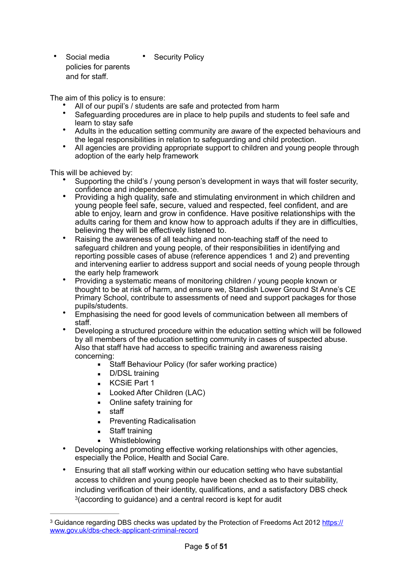• Social media policies for parents and for staff. **Security Policy** 

The aim of this policy is to ensure:

- All of our pupil's / students are safe and protected from harm
- Safeguarding procedures are in place to help pupils and students to feel safe and learn to stay safe
- Adults in the education setting community are aware of the expected behaviours and the legal responsibilities in relation to safeguarding and child protection.
- All agencies are providing appropriate support to children and young people through adoption of the early help framework

This will be achieved by:

- Supporting the child's / young person's development in ways that will foster security, confidence and independence.
- Providing a high quality, safe and stimulating environment in which children and young people feel safe, secure, valued and respected, feel confident, and are able to enjoy, learn and grow in confidence. Have positive relationships with the adults caring for them and know how to approach adults if they are in difficulties, believing they will be effectively listened to.
- Raising the awareness of all teaching and non-teaching staff of the need to safeguard children and young people, of their responsibilities in identifying and reporting possible cases of abuse (reference appendices 1 and 2) and preventing and intervening earlier to address support and social needs of young people through the early help framework
- Providing a systematic means of monitoring children / young people known or thought to be at risk of harm, and ensure we, Standish Lower Ground St Anne's CE Primary School, contribute to assessments of need and support packages for those pupils/students.
- Emphasising the need for good levels of communication between all members of staff.
- Developing a structured procedure within the education setting which will be followed by all members of the education setting community in cases of suspected abuse. Also that staff have had access to specific training and awareness raising concerning:
	- **EXECT:** Staff Behaviour Policy (for safer working practice)
	- **•** D/DSL training
	- KCSiE Part 1
	- **E** Looked After Children (LAC)
	- Online safety training for
	- staff
	- **•** Preventing Radicalisation
	- Staff training
	- Whistleblowing
- Developing and promoting effective working relationships with other agencies, especially the Police, Health and Social Care.
- <span id="page-4-1"></span>• Ensuring that all staff working within our education setting who have substantial access to children and young people have been checked as to their suitability, including verification of their identity, qualifications, and a satisfactory DBS check <sup>[3](#page-4-0)</sup> (according to guidance) and a central record is kept for audit

<span id="page-4-0"></span><sup>&</sup>lt;sup>3</sup> Guidance regarding DBS checks was updated by the Protection of Freedoms Act 2012 [https://](https://www.gov.uk/dbs-check-applicant-criminal-record) [www.gov.uk/dbs-check-applicant-criminal-record](https://www.gov.uk/dbs-check-applicant-criminal-record)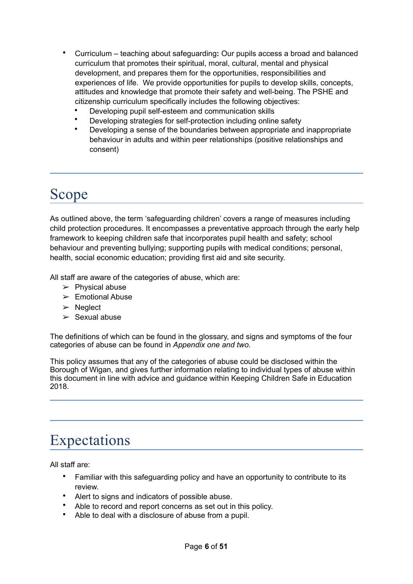- Curriculum teaching about safeguarding**:** Our pupils access a broad and balanced curriculum that promotes their spiritual, moral, cultural, mental and physical development, and prepares them for the opportunities, responsibilities and experiences of life. We provide opportunities for pupils to develop skills, concepts, attitudes and knowledge that promote their safety and well-being. The PSHE and citizenship curriculum specifically includes the following objectives:
	- Developing pupil self-esteem and communication skills
	- Developing strategies for self-protection including online safety
	- Developing a sense of the boundaries between appropriate and inappropriate behaviour in adults and within peer relationships (positive relationships and consent)

# Scope

As outlined above, the term 'safeguarding children' covers a range of measures including child protection procedures. It encompasses a preventative approach through the early help framework to keeping children safe that incorporates pupil health and safety; school behaviour and preventing bullying; supporting pupils with medical conditions; personal, health, social economic education; providing first aid and site security.

All staff are aware of the categories of abuse, which are:

- $\triangleright$  Physical abuse
- $\geq$  Emotional Abuse
- ➢ Neglect
- $\geq$  Sexual abuse

The definitions of which can be found in the glossary, and signs and symptoms of the four categories of abuse can be found in *Appendix one and two*.

This policy assumes that any of the categories of abuse could be disclosed within the Borough of Wigan, and gives further information relating to individual types of abuse within this document in line with advice and guidance within Keeping Children Safe in Education 2018.

# Expectations

All staff are:

- Familiar with this safeguarding policy and have an opportunity to contribute to its review.
- Alert to signs and indicators of possible abuse.
- Able to record and report concerns as set out in this policy.
- Able to deal with a disclosure of abuse from a pupil.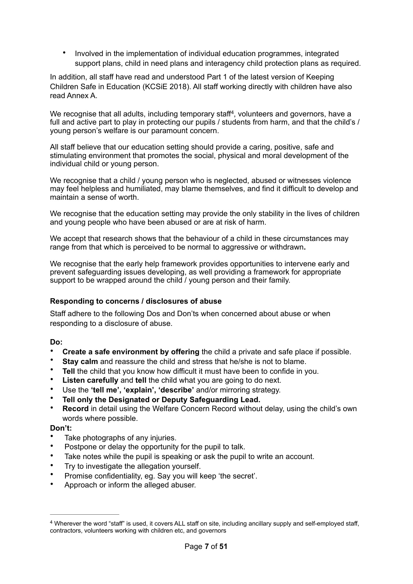<span id="page-6-1"></span>• Involved in the implementation of individual education programmes, integrated support plans, child in need plans and interagency child protection plans as required.

In addition, all staff have read and understood Part 1 of the latest version of Keeping Children Safe in Education (KCSiE 2018). All staff working directly with children have also read Annex A.

We recognise that all adults[,](#page-6-0) including temporary staff<sup>[4](#page-6-0)</sup>, volunteers and governors, have a full and active part to play in protecting our pupils / students from harm, and that the child's / young person's welfare is our paramount concern.

All staff believe that our education setting should provide a caring, positive, safe and stimulating environment that promotes the social, physical and moral development of the individual child or young person.

We recognise that a child / young person who is neglected, abused or witnesses violence may feel helpless and humiliated, may blame themselves, and find it difficult to develop and maintain a sense of worth.

We recognise that the education setting may provide the only stability in the lives of children and young people who have been abused or are at risk of harm.

We accept that research shows that the behaviour of a child in these circumstances may range from that which is perceived to be normal to aggressive or withdrawn**.** 

We recognise that the early help framework provides opportunities to intervene early and prevent safeguarding issues developing, as well providing a framework for appropriate support to be wrapped around the child / young person and their family.

#### **Responding to concerns / disclosures of abuse**

Staff adhere to the following Dos and Don'ts when concerned about abuse or when responding to a disclosure of abuse.

#### **Do:**

- **Create a safe environment by offering** the child a private and safe place if possible.
- **Stay calm** and reassure the child and stress that he/she is not to blame.
- **Tell** the child that you know how difficult it must have been to confide in you.
- **Listen carefully** and **tell** the child what you are going to do next.
- Use the **'tell me', 'explain', 'describe'** and/or mirroring strategy.
- **Tell only the Designated or Deputy Safeguarding Lead.**
- **Record** in detail using the Welfare Concern Record without delay, using the child's own words where possible.

#### **Don't:**

- Take photographs of any injuries.
- Postpone or delay the opportunity for the pupil to talk.
- Take notes while the pupil is speaking or ask the pupil to write an account.
- Try to investigate the allegation yourself.
- Promise confidentiality, eg. Say you will keep 'the secret'.
- Approach or inform the alleged abuser.

<span id="page-6-0"></span>Wherever the word "staff" is used, it covers ALL staff on site, including ancillary supply and self-employed staff, [4](#page-6-1) contractors, volunteers working with children etc, and governors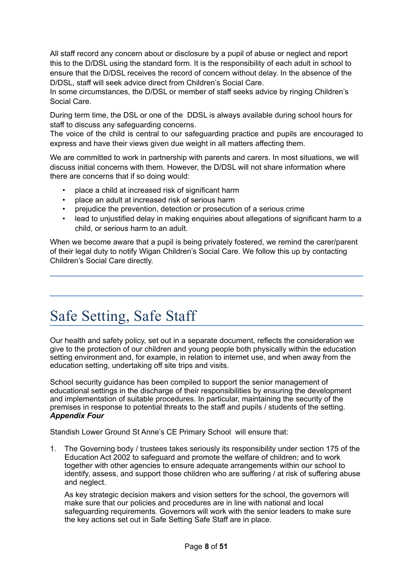All staff record any concern about or disclosure by a pupil of abuse or neglect and report this to the D/DSL using the standard form. It is the responsibility of each adult in school to ensure that the D/DSL receives the record of concern without delay. In the absence of the D/DSL, staff will seek advice direct from Children's Social Care.

In some circumstances, the D/DSL or member of staff seeks advice by ringing Children's Social Care.

During term time, the DSL or one of the DDSL is always available during school hours for staff to discuss any safeguarding concerns.

The voice of the child is central to our safeguarding practice and pupils are encouraged to express and have their views given due weight in all matters affecting them.

We are committed to work in partnership with parents and carers. In most situations, we will discuss initial concerns with them. However, the D/DSL will not share information where there are concerns that if so doing would:

- place a child at increased risk of significant harm
- place an adult at increased risk of serious harm
- prejudice the prevention, detection or prosecution of a serious crime
- lead to unjustified delay in making enquiries about allegations of significant harm to a child, or serious harm to an adult.

When we become aware that a pupil is being privately fostered, we remind the carer/parent of their legal duty to notify Wigan Children's Social Care. We follow this up by contacting Children's Social Care directly.

# Safe Setting, Safe Staff

Our health and safety policy, set out in a separate document, reflects the consideration we give to the protection of our children and young people both physically within the education setting environment and, for example, in relation to internet use, and when away from the education setting, undertaking off site trips and visits.

School security guidance has been compiled to support the senior management of educational settings in the discharge of their responsibilities by ensuring the development and implementation of suitable procedures. In particular, maintaining the security of the premises in response to potential threats to the staff and pupils / students of the setting. *Appendix Four*

Standish Lower Ground St Anne's CE Primary School will ensure that:

1. The Governing body / trustees takes seriously its responsibility under section 175 of the Education Act 2002 to safeguard and promote the welfare of children; and to work together with other agencies to ensure adequate arrangements within our school to identify, assess, and support those children who are suffering / at risk of suffering abuse and neglect.

As key strategic decision makers and vision setters for the school, the governors will make sure that our policies and procedures are in line with national and local safeguarding requirements. Governors will work with the senior leaders to make sure the key actions set out in Safe Setting Safe Staff are in place.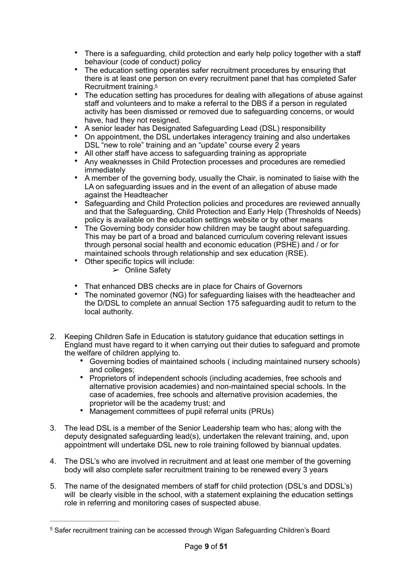- There is a safeguarding, child protection and early help policy together with a staff behaviour (code of conduct) policy
- The education setting operates safer recruitment procedures by ensuring that there is at least one person on every recruitment panel that has completed Safer Recruitment training[.5](#page-8-0)
- <span id="page-8-1"></span>• The education setting has procedures for dealing with allegations of abuse against staff and volunteers and to make a referral to the DBS if a person in regulated activity has been dismissed or removed due to safeguarding concerns, or would have, had they not resigned.
- A senior leader has Designated Safeguarding Lead (DSL) responsibility
- On appointment, the DSL undertakes interagency training and also undertakes DSL "new to role" training and an "update" course every 2 years
- All other staff have access to safeguarding training as appropriate
- Any weaknesses in Child Protection processes and procedures are remedied immediately
- A member of the governing body, usually the Chair, is nominated to liaise with the LA on safeguarding issues and in the event of an allegation of abuse made against the Headteacher
- Safeguarding and Child Protection policies and procedures are reviewed annually and that the Safeguarding, Child Protection and Early Help (Thresholds of Needs) policy is available on the education settings website or by other means
- The Governing body consider how children may be taught about safeguarding. This may be part of a broad and balanced curriculum covering relevant issues through personal social health and economic education (PSHE) and / or for maintained schools through relationship and sex education (RSE).
- Other specific topics will include:
	- $\triangleright$  Online Safety
- That enhanced DBS checks are in place for Chairs of Governors
- The nominated governor (NG) for safeguarding liaises with the headteacher and the D/DSL to complete an annual Section 175 safeguarding audit to return to the local authority.
- 2. Keeping Children Safe in Education is statutory guidance that education settings in England must have regard to it when carrying out their duties to safeguard and promote the welfare of children applying to.
	- Governing bodies of maintained schools ( including maintained nursery schools) and colleges;
	- Proprietors of independent schools (including academies, free schools and alternative provision academies) and non-maintained special schools. In the case of academies, free schools and alternative provision academies, the proprietor will be the academy trust; and
	- Management committees of pupil referral units (PRUs)
- 3. The lead DSL is a member of the Senior Leadership team who has; along with the deputy designated safeguarding lead(s), undertaken the relevant training, and, upon appointment will undertake DSL new to role training followed by biannual updates.
- 4. The DSL's who are involved in recruitment and at least one member of the governing body will also complete safer recruitment training to be renewed every 3 years
- 5. The name of the designated members of staff for child protection (DSL's and DDSL's) will be clearly visible in the school, with a statement explaining the education settings role in referring and monitoring cases of suspected abuse.

<span id="page-8-0"></span><sup>&</sup>lt;sup>[5](#page-8-1)</sup> Safer recruitment training can be accessed through Wigan Safeguarding Children's Board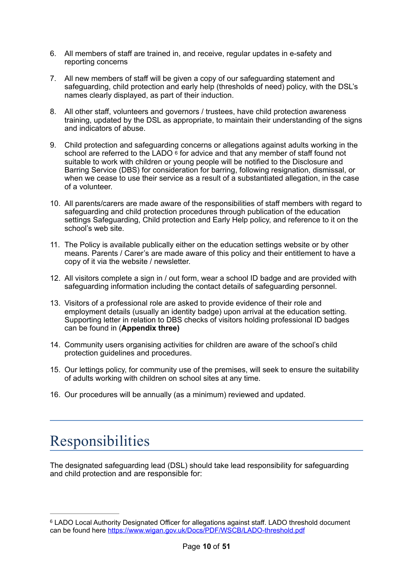- 6. All members of staff are trained in, and receive, regular updates in e-safety and reporting concerns
- 7. All new members of staff will be given a copy of our safeguarding statement and safeguarding, child protection and early help (thresholds of need) policy, with the DSL's names clearly displayed, as part of their induction.
- 8. All other staff, volunteers and governors / trustees, have child protection awareness training, updated by the DSL as appropriate, to maintain their understanding of the signs and indicators of abuse.
- <span id="page-9-1"></span>9. Child protection and safeguarding concerns or allegations against adults working in the school are referred to the LADO  $6$  for advice and that any member of staff found not suitable to work with children or young people will be notified to the Disclosure and Barring Service (DBS) for consideration for barring, following resignation, dismissal, or when we cease to use their service as a result of a substantiated allegation, in the case of a volunteer.
- 10. All parents/carers are made aware of the responsibilities of staff members with regard to safeguarding and child protection procedures through publication of the education settings Safeguarding, Child protection and Early Help policy, and reference to it on the school's web site.
- 11. The Policy is available publically either on the education settings website or by other means. Parents / Carer's are made aware of this policy and their entitlement to have a copy of it via the website / newsletter.
- 12. All visitors complete a sign in / out form, wear a school ID badge and are provided with safeguarding information including the contact details of safeguarding personnel.
- 13. Visitors of a professional role are asked to provide evidence of their role and employment details (usually an identity badge) upon arrival at the education setting. Supporting letter in relation to DBS checks of visitors holding professional ID badges can be found in (**Appendix three)**
- 14. Community users organising activities for children are aware of the school's child protection guidelines and procedures.
- 15. Our lettings policy, for community use of the premises, will seek to ensure the suitability of adults working with children on school sites at any time.
- 16. Our procedures will be annually (as a minimum) reviewed and updated.

# Responsibilities

The designated safeguarding lead (DSL) should take lead responsibility for safeguarding and child protection and are responsible for:

<span id="page-9-0"></span>LADO Local Authority Designated Officer for allegations against staff. LADO threshold document [6](#page-9-1) can be found here<https://www.wigan.gov.uk/Docs/PDF/WSCB/LADO-threshold.pdf>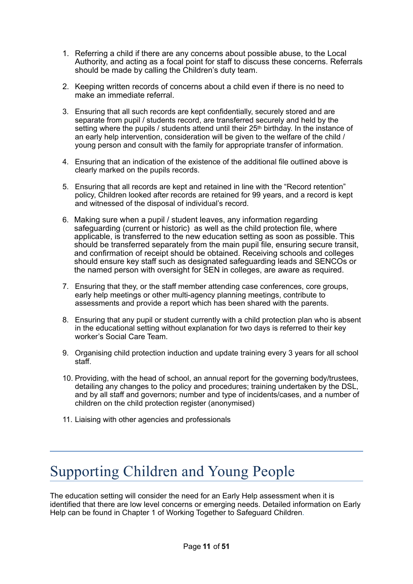- 1. Referring a child if there are any concerns about possible abuse, to the Local Authority, and acting as a focal point for staff to discuss these concerns. Referrals should be made by calling the Children's duty team.
- 2. Keeping written records of concerns about a child even if there is no need to make an immediate referral.
- 3. Ensuring that all such records are kept confidentially, securely stored and are separate from pupil / students record, are transferred securely and held by the setting where the pupils / students attend until their  $25<sup>th</sup>$  birthday. In the instance of an early help intervention, consideration will be given to the welfare of the child / young person and consult with the family for appropriate transfer of information.
- 4. Ensuring that an indication of the existence of the additional file outlined above is clearly marked on the pupils records.
- 5. Ensuring that all records are kept and retained in line with the "Record retention" policy, Children looked after records are retained for 99 years, and a record is kept and witnessed of the disposal of individual's record.
- 6. Making sure when a pupil / student leaves, any information regarding safeguarding (current or historic) as well as the child protection file, where applicable, is transferred to the new education setting as soon as possible. This should be transferred separately from the main pupil file, ensuring secure transit, and confirmation of receipt should be obtained. Receiving schools and colleges should ensure key staff such as designated safeguarding leads and SENCOs or the named person with oversight for SEN in colleges, are aware as required.
- 7. Ensuring that they, or the staff member attending case conferences, core groups, early help meetings or other multi-agency planning meetings, contribute to assessments and provide a report which has been shared with the parents.
- 8. Ensuring that any pupil or student currently with a child protection plan who is absent in the educational setting without explanation for two days is referred to their key worker's Social Care Team.
- 9. Organising child protection induction and update training every 3 years for all school staff.
- 10. Providing, with the head of school, an annual report for the governing body/trustees, detailing any changes to the policy and procedures; training undertaken by the DSL, and by all staff and governors; number and type of incidents/cases, and a number of children on the child protection register (anonymised)
- 11. Liaising with other agencies and professionals

# Supporting Children and Young People

The education setting will consider the need for an Early Help assessment when it is identified that there are low level concerns or emerging needs. Detailed information on Early Help can be found in Chapter 1 of Working Together to Safeguard Children.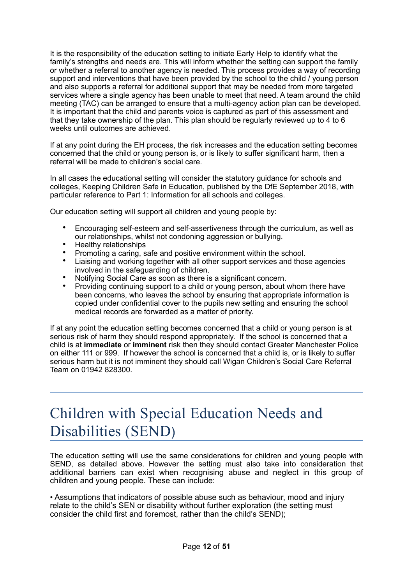It is the responsibility of the education setting to initiate Early Help to identify what the family's strengths and needs are. This will inform whether the setting can support the family or whether a referral to another agency is needed. This process provides a way of recording support and interventions that have been provided by the school to the child / young person and also supports a referral for additional support that may be needed from more targeted services where a single agency has been unable to meet that need. A team around the child meeting (TAC) can be arranged to ensure that a multi-agency action plan can be developed. It is important that the child and parents voice is captured as part of this assessment and that they take ownership of the plan. This plan should be regularly reviewed up to 4 to 6 weeks until outcomes are achieved.

If at any point during the EH process, the risk increases and the education setting becomes concerned that the child or young person is, or is likely to suffer significant harm, then a referral will be made to children's social care.

In all cases the educational setting will consider the statutory guidance for schools and colleges, Keeping Children Safe in Education, published by the DfE September 2018, with particular reference to Part 1: Information for all schools and colleges.

Our education setting will support all children and young people by:

- Encouraging self-esteem and self-assertiveness through the curriculum, as well as our relationships, whilst not condoning aggression or bullying.
- Healthy relationships
- Promoting a caring, safe and positive environment within the school.
- Liaising and working together with all other support services and those agencies involved in the safeguarding of children.
- Notifying Social Care as soon as there is a significant concern.
- Providing continuing support to a child or young person, about whom there have been concerns, who leaves the school by ensuring that appropriate information is copied under confidential cover to the pupils new setting and ensuring the school medical records are forwarded as a matter of priority.

If at any point the education setting becomes concerned that a child or young person is at serious risk of harm they should respond appropriately. If the school is concerned that a child is at **immediate** or **imminent** risk then they should contact Greater Manchester Police on either 111 or 999. If however the school is concerned that a child is, or is likely to suffer serious harm but it is not imminent they should call Wigan Children's Social Care Referral Team on 01942 828300.

# Children with Special Education Needs and Disabilities (SEND)

The education setting will use the same considerations for children and young people with SEND, as detailed above. However the setting must also take into consideration that additional barriers can exist when recognising abuse and neglect in this group of children and young people. These can include:

• Assumptions that indicators of possible abuse such as behaviour, mood and injury relate to the child's SEN or disability without further exploration (the setting must consider the child first and foremost, rather than the child's SEND);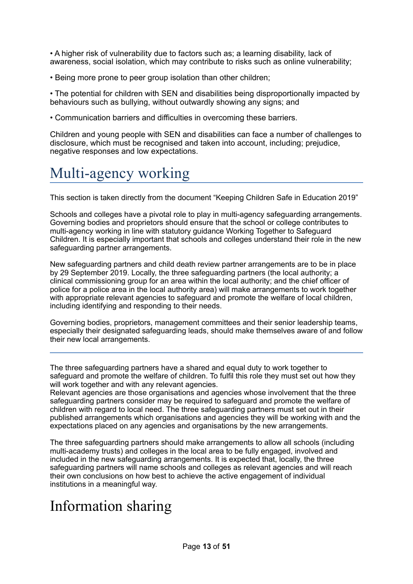• A higher risk of vulnerability due to factors such as; a learning disability, lack of awareness, social isolation, which may contribute to risks such as online vulnerability;

• Being more prone to peer group isolation than other children;

• The potential for children with SEN and disabilities being disproportionally impacted by behaviours such as bullying, without outwardly showing any signs; and

• Communication barriers and difficulties in overcoming these barriers.

Children and young people with SEN and disabilities can face a number of challenges to disclosure, which must be recognised and taken into account, including; prejudice, negative responses and low expectations.

# Multi-agency working

This section is taken directly from the document "Keeping Children Safe in Education 2019"

Schools and colleges have a pivotal role to play in multi-agency safeguarding arrangements. Governing bodies and proprietors should ensure that the school or college contributes to multi-agency working in line with statutory guidance Working Together to Safeguard Children. It is especially important that schools and colleges understand their role in the new safeguarding partner arrangements.

New safeguarding partners and child death review partner arrangements are to be in place by 29 September 2019. Locally, the three safeguarding partners (the local authority; a clinical commissioning group for an area within the local authority; and the chief officer of police for a police area in the local authority area) will make arrangements to work together with appropriate relevant agencies to safeguard and promote the welfare of local children, including identifying and responding to their needs.

Governing bodies, proprietors, management committees and their senior leadership teams, especially their designated safeguarding leads, should make themselves aware of and follow their new local arrangements.

The three safeguarding partners have a shared and equal duty to work together to safeguard and promote the welfare of children. To fulfil this role they must set out how they will work together and with any relevant agencies.

Relevant agencies are those organisations and agencies whose involvement that the three safeguarding partners consider may be required to safeguard and promote the welfare of children with regard to local need. The three safeguarding partners must set out in their published arrangements which organisations and agencies they will be working with and the expectations placed on any agencies and organisations by the new arrangements.

The three safeguarding partners should make arrangements to allow all schools (including multi-academy trusts) and colleges in the local area to be fully engaged, involved and included in the new safeguarding arrangements. It is expected that, locally, the three safeguarding partners will name schools and colleges as relevant agencies and will reach their own conclusions on how best to achieve the active engagement of individual institutions in a meaningful way.

# Information sharing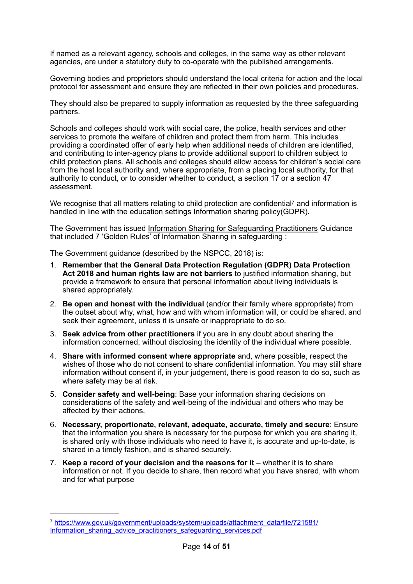If named as a relevant agency, schools and colleges, in the same way as other relevant agencies, are under a statutory duty to co-operate with the published arrangements.

Governing bodies and proprietors should understand the local criteria for action and the local protocol for assessment and ensure they are reflected in their own policies and procedures.

They should also be prepared to supply information as requested by the three safeguarding partners.

Schools and colleges should work with social care, the police, health services and other services to promote the welfare of children and protect them from harm. This includes providing a coordinated offer of early help when additional needs of children are identified, and contributing to inter-agency plans to provide additional support to children subject to child protection plans. All schools and colleges should allow access for children's social care from the host local authority and, where appropriate, from a placing local authority, for that authority to conduct, or to consider whether to conduct, a section 17 or a section 47 assessment.

<span id="page-13-1"></span>We recognise that all matters relating to child protection are confidential<sup>7</sup> and information is handled in line with the education settings Information sharing policy(GDPR).

The Government has issued [Information Sharing for Safeguarding Practitioners](https://www.gov.uk/government/publications/safeguarding-practitioners-information-sharing-advice) Guidance that included 7 'Golden Rules' of Information Sharing in safeguarding :

The Government guidance (described by the NSPCC, 2018) is:

- 1. **Remember that the General Data Protection Regulation (GDPR) Data Protection Act 2018 and human rights law are not barriers** to justified information sharing, but provide a framework to ensure that personal information about living individuals is shared appropriately.
- 2. **Be open and honest with the individual** (and/or their family where appropriate) from the outset about why, what, how and with whom information will, or could be shared, and seek their agreement, unless it is unsafe or inappropriate to do so.
- 3. **Seek advice from other practitioners** if you are in any doubt about sharing the information concerned, without disclosing the identity of the individual where possible.
- 4. **Share with informed consent where appropriate** and, where possible, respect the wishes of those who do not consent to share confidential information. You may still share information without consent if, in your judgement, there is good reason to do so, such as where safety may be at risk.
- 5. **Consider safety and well-being**: Base your information sharing decisions on considerations of the safety and well-being of the individual and others who may be affected by their actions.
- 6. **Necessary, proportionate, relevant, adequate, accurate, timely and secure**: Ensure that the information you share is necessary for the purpose for which you are sharing it, is shared only with those individuals who need to have it, is accurate and up-to-date, is shared in a timely fashion, and is shared securely.
- 7. **Keep a record of your decision and the reasons for it** whether it is to share information or not. If you decide to share, then record what you have shared, with whom and for what purpose

<span id="page-13-0"></span><sup>&</sup>lt;sup>7</sup> [https://www.gov.uk/government/uploads/system/uploads/attachment\\_data/file/721581/](https://www.gov.uk/government/uploads/system/uploads/attachment_data/file/721581/Information_sharing_advice_practitioners_safeguarding_services.pdf) [Information\\_sharing\\_advice\\_practitioners\\_safeguarding\\_services.pdf](https://www.gov.uk/government/uploads/system/uploads/attachment_data/file/721581/Information_sharing_advice_practitioners_safeguarding_services.pdf)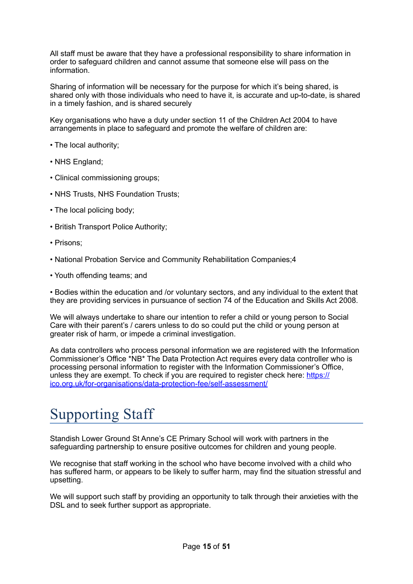All staff must be aware that they have a professional responsibility to share information in order to safeguard children and cannot assume that someone else will pass on the information.

Sharing of information will be necessary for the purpose for which it's being shared, is shared only with those individuals who need to have it, is accurate and up-to-date, is shared in a timely fashion, and is shared securely

Key organisations who have a duty under section 11 of the Children Act 2004 to have arrangements in place to safeguard and promote the welfare of children are:

- The local authority;
- NHS England;
- Clinical commissioning groups;
- NHS Trusts, NHS Foundation Trusts;
- The local policing body;
- British Transport Police Authority;
- Prisons;
- National Probation Service and Community Rehabilitation Companies;4
- Youth offending teams; and

• Bodies within the education and /or voluntary sectors, and any individual to the extent that they are providing services in pursuance of section 74 of the Education and Skills Act 2008.

We will always undertake to share our intention to refer a child or young person to Social Care with their parent's / carers unless to do so could put the child or young person at greater risk of harm, or impede a criminal investigation.

As data controllers who process personal information we are registered with the Information Commissioner's Office \*NB\* The Data Protection Act requires every data controller who is processing personal information to register with the Information Commissioner's Office, unless they are exempt. To check if you are required to register check here: [https://](https://clicktime.symantec.com/a/1/zSX8ifXAg_CBXgnCY4DICxl14EPnYbXM5Eqj75Lif_Q=?d=-q0gl88aO6M8P0HtwV0LC_Pu0wTWXqFo8T51simW6NG3DA3d8Gcm4ghuLP7KtYSHPFbRFnWxsuJiaUCa1Jw0H3VEpkGGm_44yvd8PCHwJ0Fl74AVeggy-8c10BrfZbwocVIq4CEngv2QnSBHkrRH39R4Au7321sN-sZCZqs69BOY7o56V23CGusAAIglEItstbyZ0FFt0jl0QXOvvaTUDEqC3C8DRzvaTMneLBB7stE2Wa73YgQmXp5Pk_1weL84AoJDIrRaFfeU6sIZo-PudKy2Omv1bgjnUl7Rl_Hh5RaMfbHvRti6LuVpmJ77Wze8uJKfmKKnMQJDLhKvRdg%253D&u=https%253A%252F%252Fico.org.uk%252Ffor-organisations%252Fdata-protection-fee%252Fself-assessment%252F) [ico.org.uk/for-organisations/data-protection-fee/self-assessment/](https://clicktime.symantec.com/a/1/zSX8ifXAg_CBXgnCY4DICxl14EPnYbXM5Eqj75Lif_Q=?d=-q0gl88aO6M8P0HtwV0LC_Pu0wTWXqFo8T51simW6NG3DA3d8Gcm4ghuLP7KtYSHPFbRFnWxsuJiaUCa1Jw0H3VEpkGGm_44yvd8PCHwJ0Fl74AVeggy-8c10BrfZbwocVIq4CEngv2QnSBHkrRH39R4Au7321sN-sZCZqs69BOY7o56V23CGusAAIglEItstbyZ0FFt0jl0QXOvvaTUDEqC3C8DRzvaTMneLBB7stE2Wa73YgQmXp5Pk_1weL84AoJDIrRaFfeU6sIZo-PudKy2Omv1bgjnUl7Rl_Hh5RaMfbHvRti6LuVpmJ77Wze8uJKfmKKnMQJDLhKvRdg%253D&u=https%253A%252F%252Fico.org.uk%252Ffor-organisations%252Fdata-protection-fee%252Fself-assessment%252F) 

# Supporting Staff

Standish Lower Ground St Anne's CE Primary School will work with partners in the safeguarding partnership to ensure positive outcomes for children and young people.

We recognise that staff working in the school who have become involved with a child who has suffered harm, or appears to be likely to suffer harm, may find the situation stressful and upsetting.

We will support such staff by providing an opportunity to talk through their anxieties with the DSL and to seek further support as appropriate.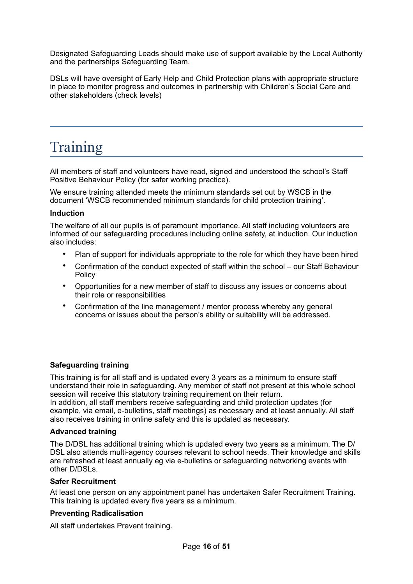Designated Safeguarding Leads should make use of support available by the Local Authority and the partnerships Safeguarding Team.

DSLs will have oversight of Early Help and Child Protection plans with appropriate structure in place to monitor progress and outcomes in partnership with Children's Social Care and other stakeholders (check levels)

# Training

All members of staff and volunteers have read, signed and understood the school's Staff Positive Behaviour Policy (for safer working practice).

We ensure training attended meets the minimum standards set out by WSCB in the document 'WSCB recommended minimum standards for child protection training'.

#### **Induction**

The welfare of all our pupils is of paramount importance. All staff including volunteers are informed of our safeguarding procedures including online safety, at induction. Our induction also includes:

- Plan of support for individuals appropriate to the role for which they have been hired
- Confirmation of the conduct expected of staff within the school our Staff Behaviour Policy
- Opportunities for a new member of staff to discuss any issues or concerns about their role or responsibilities
- Confirmation of the line management / mentor process whereby any general concerns or issues about the person's ability or suitability will be addressed.

#### **Safeguarding training**

This training is for all staff and is updated every 3 years as a minimum to ensure staff understand their role in safeguarding. Any member of staff not present at this whole school session will receive this statutory training requirement on their return. In addition, all staff members receive safeguarding and child protection updates (for

example, via email, e-bulletins, staff meetings) as necessary and at least annually. All staff also receives training in online safety and this is updated as necessary.

#### **Advanced training**

The D/DSL has additional training which is updated every two years as a minimum. The D/ DSL also attends multi-agency courses relevant to school needs. Their knowledge and skills are refreshed at least annually eg via e-bulletins or safeguarding networking events with other D/DSLs.

#### **Safer Recruitment**

At least one person on any appointment panel has undertaken Safer Recruitment Training. This training is updated every five years as a minimum.

#### **Preventing Radicalisation**

All staff undertakes Prevent training.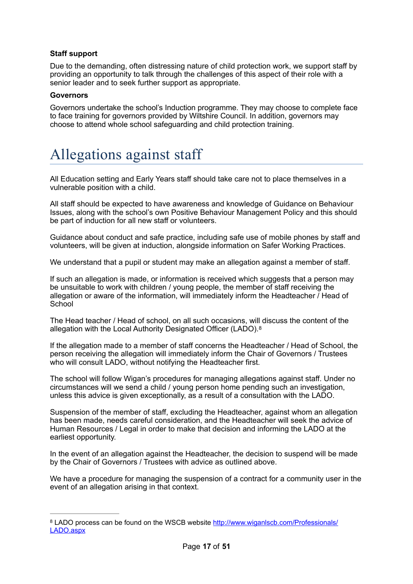#### **Staff support**

Due to the demanding, often distressing nature of child protection work, we support staff by providing an opportunity to talk through the challenges of this aspect of their role with a senior leader and to seek further support as appropriate.

#### **Governors**

Governors undertake the school's Induction programme. They may choose to complete face to face training for governors provided by Wiltshire Council. In addition, governors may choose to attend whole school safeguarding and child protection training.

# Allegations against staff

All Education setting and Early Years staff should take care not to place themselves in a vulnerable position with a child.

All staff should be expected to have awareness and knowledge of Guidance on Behaviour Issues, along with the school's own Positive Behaviour Management Policy and this should be part of induction for all new staff or volunteers.

Guidance about conduct and safe practice, including safe use of mobile phones by staff and volunteers, will be given at induction, alongside information on Safer Working Practices.

We understand that a pupil or student may make an allegation against a member of staff.

If such an allegation is made, or information is received which suggests that a person may be unsuitable to work with children / young people, the member of staff receiving the allegation or aware of the information, will immediately inform the Headteacher / Head of **School** 

<span id="page-16-1"></span>The Head teacher / Head of school, on all such occasions, will discuss the content of the allegation with the Local Authority Designated Officer (LADO).[8](#page-16-0)

If the allegation made to a member of staff concerns the Headteacher / Head of School, the person receiving the allegation will immediately inform the Chair of Governors / Trustees who will consult LADO, without notifying the Headteacher first.

The school will follow Wigan's procedures for managing allegations against staff. Under no circumstances will we send a child / young person home pending such an investigation, unless this advice is given exceptionally, as a result of a consultation with the LADO.

Suspension of the member of staff, excluding the Headteacher, against whom an allegation has been made, needs careful consideration, and the Headteacher will seek the advice of Human Resources / Legal in order to make that decision and informing the LADO at the earliest opportunity.

In the event of an allegation against the Headteacher, the decision to suspend will be made by the Chair of Governors / Trustees with advice as outlined above.

We have a procedure for managing the suspension of a contract for a community user in the event of an allegation arising in that context.

<span id="page-16-0"></span>LADO process can be found on the WSCB website [http://www.wiganlscb.com/Professionals/](http://www.wiganlscb.com/Professionals/LADO.aspx) [8](#page-16-1) [LADO.aspx](http://www.wiganlscb.com/Professionals/LADO.aspx)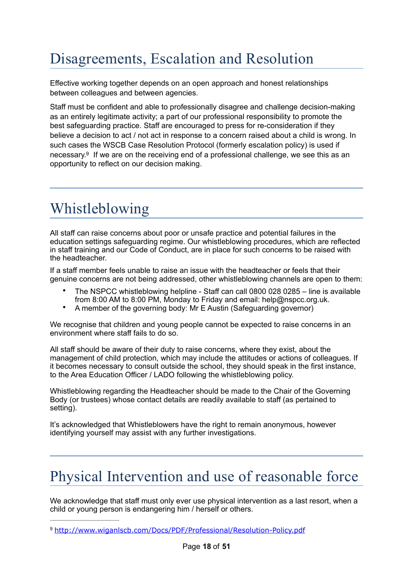# Disagreements, Escalation and Resolution

Effective working together depends on an open approach and honest relationships between colleagues and between agencies.

<span id="page-17-1"></span>Staff must be confident and able to professionally disagree and challenge decision-making as an entirely legitimate activity; a part of our professional responsibility to promote the best safeguarding practice. Staff are encouraged to press for re-consideration if they believe a decision to act / not act in response to a concern raised about a child is wrong. In such cases the WSCB Case Resolution Protocol (formerly escalation policy) is used if necessary[.](#page-17-0)<sup>[9](#page-17-0)</sup> If we are on the receiving end of a professional challenge, we see this as an opportunity to reflect on our decision making.

# Whistleblowing

All staff can raise concerns about poor or unsafe practice and potential failures in the education settings safeguarding regime. Our whistleblowing procedures, which are reflected in staff training and our Code of Conduct, are in place for such concerns to be raised with the headteacher.

If a staff member feels unable to raise an issue with the headteacher or feels that their genuine concerns are not being addressed, other whistleblowing channels are open to them:

- The NSPCC whistleblowing helpline Staff can call 0800 028 0285 line is available from 8:00 AM to 8:00 PM, Monday to Friday and email: help@nspcc.org.uk.
- A member of the governing body: Mr E Austin (Safeguarding governor)

We recognise that children and young people cannot be expected to raise concerns in an environment where staff fails to do so.

All staff should be aware of their duty to raise concerns, where they exist, about the management of child protection, which may include the attitudes or actions of colleagues. If it becomes necessary to consult outside the school, they should speak in the first instance, to the Area Education Officer / LADO following the whistleblowing policy.

Whistleblowing regarding the Headteacher should be made to the Chair of the Governing Body (or trustees) whose contact details are readily available to staff (as pertained to setting).

It's acknowledged that Whistleblowers have the right to remain anonymous, however identifying yourself may assist with any further investigations.

# Physical Intervention and use of reasonable force

We acknowledge that staff must only ever use physical intervention as a last resort, when a child or young person is endangering him / herself or others.

<span id="page-17-0"></span><http://www.wiganlscb.com/Docs/PDF/Professional/Resolution-Policy.pdf> [9](#page-17-1)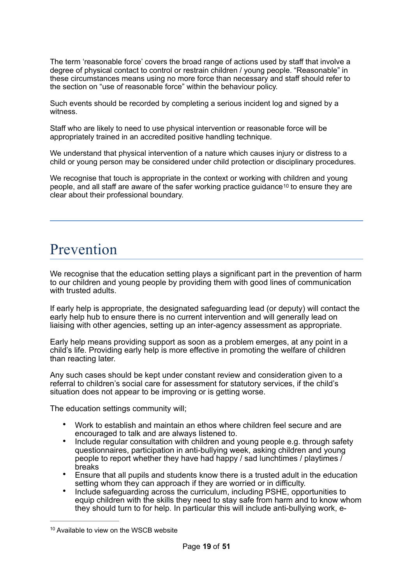The term 'reasonable force' covers the broad range of actions used by staff that involve a degree of physical contact to control or restrain children / young people. "Reasonable" in these circumstances means using no more force than necessary and staff should refer to the section on "use of reasonable force" within the behaviour policy.

Such events should be recorded by completing a serious incident log and signed by a witness.

Staff who are likely to need to use physical intervention or reasonable force will be appropriately trained in an accredited positive handling technique.

We understand that physical intervention of a nature which causes injury or distress to a child or young person may be considered under child protection or disciplinary procedures.

<span id="page-18-1"></span>We recognise that touch is appropriate in the context or working with children and young people, and all staff are aware of the safer working practice guidance[10](#page-18-0) to ensure they are clear about their professional boundary.

# Prevention

We recognise that the education setting plays a significant part in the prevention of harm to our children and young people by providing them with good lines of communication with trusted adults.

If early help is appropriate, the designated safeguarding lead (or deputy) will contact the early help hub to ensure there is no current intervention and will generally lead on liaising with other agencies, setting up an inter-agency assessment as appropriate.

Early help means providing support as soon as a problem emerges, at any point in a child's life. Providing early help is more effective in promoting the welfare of children than reacting later.

Any such cases should be kept under constant review and consideration given to a referral to children's social care for assessment for statutory services, if the child's situation does not appear to be improving or is getting worse.

The education settings community will;

- Work to establish and maintain an ethos where children feel secure and are encouraged to talk and are always listened to.
- Include regular consultation with children and young people e.g. through safety questionnaires, participation in anti-bullying week, asking children and young people to report whether they have had happy / sad lunchtimes / playtimes / breaks
- Ensure that all pupils and students know there is a trusted adult in the education setting whom they can approach if they are worried or in difficulty.
- Include safeguarding across the curriculum, including PSHE, opportunities to equip children with the skills they need to stay safe from harm and to know whom they should turn to for help. In particular this will include anti-bullying work, e-

<span id="page-18-0"></span><sup>&</sup>lt;sup>[10](#page-18-1)</sup> Available to view on the WSCB website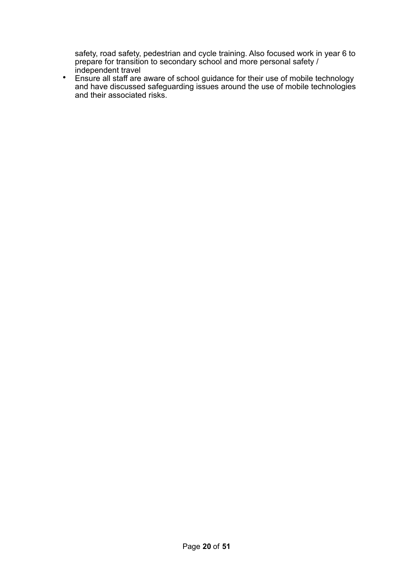safety, road safety, pedestrian and cycle training. Also focused work in year 6 to prepare for transition to secondary school and more personal safety / independent travel

• Ensure all staff are aware of school guidance for their use of mobile technology and have discussed safeguarding issues around the use of mobile technologies and their associated risks.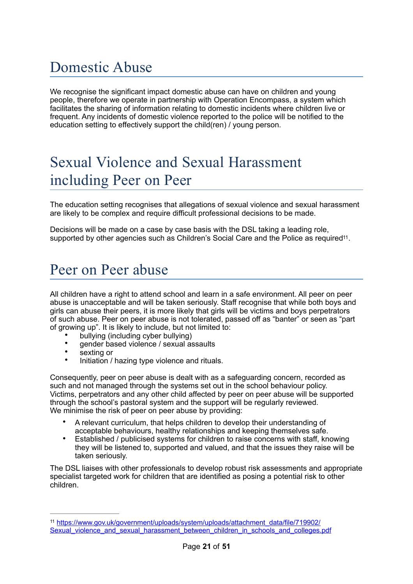# Domestic Abuse

We recognise the significant impact domestic abuse can have on children and young people, therefore we operate in partnership with Operation Encompass, a system which facilitates the sharing of information relating to domestic incidents where children live or frequent. Any incidents of domestic violence reported to the police will be notified to the education setting to effectively support the child(ren) / young person.

# Sexual Violence and Sexual Harassment including Peer on Peer

The education setting recognises that allegations of sexual violence and sexual harassment are likely to be complex and require difficult professional decisions to be made.

<span id="page-20-1"></span>Decisions will be made on a case by case basis with the DSL taking a leading role, supported by other agencies such as Children's Social Care and the Police as required<sup>11</sup>.

# Peer on Peer abuse

All children have a right to attend school and learn in a safe environment. All peer on peer abuse is unacceptable and will be taken seriously. Staff recognise that while both boys and girls can abuse their peers, it is more likely that girls will be victims and boys perpetrators of such abuse. Peer on peer abuse is not tolerated, passed off as "banter" or seen as "part of growing up". It is likely to include, but not limited to:

- bullying (including cyber bullying)
- gender based violence / sexual assaults
- sexting or
- Initiation / hazing type violence and rituals.

Consequently, peer on peer abuse is dealt with as a safeguarding concern, recorded as such and not managed through the systems set out in the school behaviour policy. Victims, perpetrators and any other child affected by peer on peer abuse will be supported through the school's pastoral system and the support will be regularly reviewed. We minimise the risk of peer on peer abuse by providing:

- A relevant curriculum, that helps children to develop their understanding of acceptable behaviours, healthy relationships and keeping themselves safe.
- Established / publicised systems for children to raise concerns with staff, knowing they will be listened to, supported and valued, and that the issues they raise will be taken seriously.

The DSL liaises with other professionals to develop robust risk assessments and appropriate specialist targeted work for children that are identified as posing a potential risk to other children.

<span id="page-20-0"></span><sup>11</sup> [https://www.gov.uk/government/uploads/system/uploads/attachment\\_data/file/719902/](https://www.gov.uk/government/uploads/system/uploads/attachment_data/file/719902/Sexual_violence_and_sexual_harassment_between_children_in_schools_and_colleges.pdf) [Sexual\\_violence\\_and\\_sexual\\_harassment\\_between\\_children\\_in\\_schools\\_and\\_colleges.pdf](https://www.gov.uk/government/uploads/system/uploads/attachment_data/file/719902/Sexual_violence_and_sexual_harassment_between_children_in_schools_and_colleges.pdf)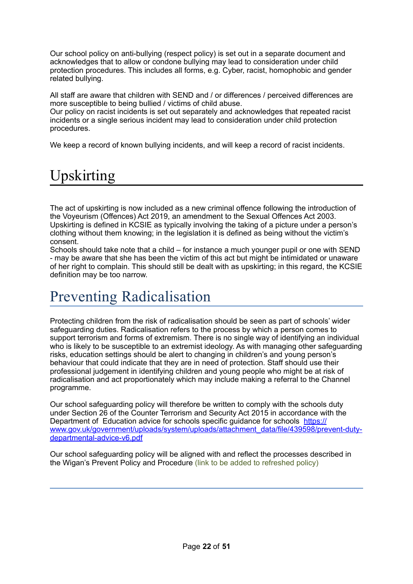Our school policy on anti-bullying (respect policy) is set out in a separate document and acknowledges that to allow or condone bullying may lead to consideration under child protection procedures. This includes all forms, e.g. Cyber, racist, homophobic and gender related bullying.

All staff are aware that children with SEND and / or differences / perceived differences are more susceptible to being bullied / victims of child abuse.

Our policy on racist incidents is set out separately and acknowledges that repeated racist incidents or a single serious incident may lead to consideration under child protection procedures.

We keep a record of known bullying incidents, and will keep a record of racist incidents.

# Upskirting

The act of upskirting is now included as a new criminal offence following the introduction of the Voyeurism (Offences) Act 2019, an amendment to the Sexual Offences Act 2003. Upskirting is defined in KCSIE as typically involving the taking of a picture under a person's clothing without them knowing; in the legislation it is defined as being without the victim's consent.

Schools should take note that a child – for instance a much younger pupil or one with SEND - may be aware that she has been the victim of this act but might be intimidated or unaware of her right to complain. This should still be dealt with as upskirting; in this regard, the KCSIE definition may be too narrow.

# Preventing Radicalisation

Protecting children from the risk of radicalisation should be seen as part of schools' wider safeguarding duties. Radicalisation refers to the process by which a person comes to support terrorism and forms of extremism. There is no single way of identifying an individual who is likely to be susceptible to an extremist ideology. As with managing other safeguarding risks, education settings should be alert to changing in children's and young person's behaviour that could indicate that they are in need of protection. Staff should use their professional judgement in identifying children and young people who might be at risk of radicalisation and act proportionately which may include making a referral to the Channel programme.

Our school safeguarding policy will therefore be written to comply with the schools duty under Section 26 of the Counter Terrorism and Security Act 2015 in accordance with the Department of Education advice for schools specific guidance for schools [https://](https://www.gov.uk/government/uploads/system/uploads/attachment_data/file/439598/prevent-duty-departmental-advice-v6.pdf) [www.gov.uk/government/uploads/system/uploads/attachment\\_data/file/439598/prevent-duty](https://www.gov.uk/government/uploads/system/uploads/attachment_data/file/439598/prevent-duty-departmental-advice-v6.pdf)[departmental-advice-v6.pdf](https://www.gov.uk/government/uploads/system/uploads/attachment_data/file/439598/prevent-duty-departmental-advice-v6.pdf)

Our school safeguarding policy will be aligned with and reflect the processes described in the Wigan's Prevent Policy and Procedure (link to be added to refreshed policy)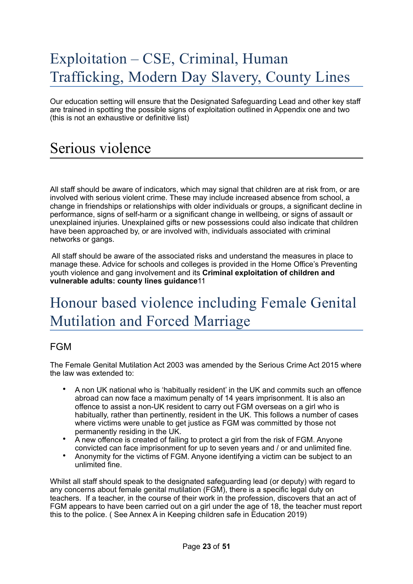# Exploitation – CSE, Criminal, Human Trafficking, Modern Day Slavery, County Lines

Our education setting will ensure that the Designated Safeguarding Lead and other key staff are trained in spotting the possible signs of exploitation outlined in Appendix one and two (this is not an exhaustive or definitive list)

# Serious violence

All staff should be aware of indicators, which may signal that children are at risk from, or are involved with serious violent crime. These may include increased absence from school, a change in friendships or relationships with older individuals or groups, a significant decline in performance, signs of self-harm or a significant change in wellbeing, or signs of assault or unexplained injuries. Unexplained gifts or new possessions could also indicate that children have been approached by, or are involved with, individuals associated with criminal networks or gangs.

 All staff should be aware of the associated risks and understand the measures in place to manage these. Advice for schools and colleges is provided in the Home Office's Preventing youth violence and gang involvement and its **Criminal exploitation of children and vulnerable adults: county lines guidance**11

# Honour based violence including Female Genital Mutilation and Forced Marriage

### FGM

The Female Genital Mutilation Act 2003 was amended by the Serious Crime Act 2015 where the law was extended to:

- A non UK national who is 'habitually resident' in the UK and commits such an offence abroad can now face a maximum penalty of 14 years imprisonment. It is also an offence to assist a non-UK resident to carry out FGM overseas on a girl who is habitually, rather than pertinently, resident in the UK. This follows a number of cases where victims were unable to get justice as FGM was committed by those not permanently residing in the UK.
- A new offence is created of failing to protect a girl from the risk of FGM. Anyone convicted can face imprisonment for up to seven years and / or and unlimited fine.
- Anonymity for the victims of FGM. Anyone identifying a victim can be subject to an unlimited fine.

Whilst all staff should speak to the designated safeguarding lead (or deputy) with regard to any concerns about female genital mutilation (FGM), there is a specific legal duty on teachers. If a teacher, in the course of their work in the profession, discovers that an act of FGM appears to have been carried out on a girl under the age of 18, the teacher must report this to the police. ( See Annex A in Keeping children safe in Education 2019)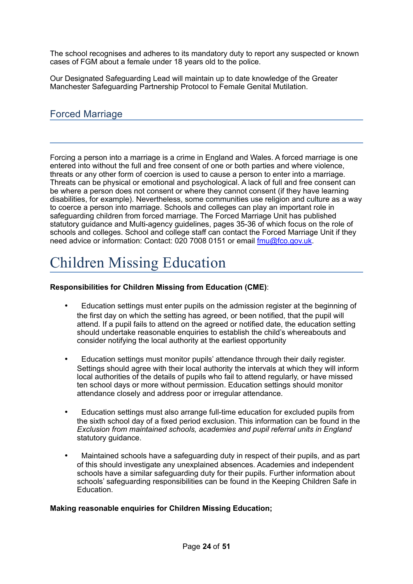The school recognises and adheres to its mandatory duty to report any suspected or known cases of FGM about a female under 18 years old to the police.

Our Designated Safeguarding Lead will maintain up to date knowledge of the Greater Manchester Safeguarding Partnership Protocol to Female Genital Mutilation.

### Forced Marriage

Forcing a person into a marriage is a crime in England and Wales. A forced marriage is one entered into without the full and free consent of one or both parties and where violence, threats or any other form of coercion is used to cause a person to enter into a marriage. Threats can be physical or emotional and psychological. A lack of full and free consent can be where a person does not consent or where they cannot consent (if they have learning disabilities, for example). Nevertheless, some communities use religion and culture as a way to coerce a person into marriage. Schools and colleges can play an important role in safeguarding children from forced marriage. The Forced Marriage Unit has published statutory guidance and Multi-agency guidelines, pages 35-36 of which focus on the role of schools and colleges. School and college staff can contact the Forced Marriage Unit if they need advice or information: Contact: 020 7008 0151 or email [fmu@fco.gov.uk](mailto:fmu@fco.gov.uk).

# Children Missing Education

#### **Responsibilities for Children Missing from Education (CME)**:

- Education settings must enter pupils on the admission register at the beginning of the first day on which the setting has agreed, or been notified, that the pupil will attend. If a pupil fails to attend on the agreed or notified date, the education setting should undertake reasonable enquiries to establish the child's whereabouts and consider notifying the local authority at the earliest opportunity
- Education settings must monitor pupils' attendance through their daily register. Settings should agree with their local authority the intervals at which they will inform local authorities of the details of pupils who fail to attend regularly, or have missed ten school days or more without permission. Education settings should monitor attendance closely and address poor or irregular attendance.
- Education settings must also arrange full-time education for excluded pupils from the sixth school day of a fixed period exclusion. This information can be found in the *Exclusion from maintained schools, academies and pupil referral units in England*  statutory guidance.
- Maintained schools have a safeguarding duty in respect of their pupils, and as part of this should investigate any unexplained absences. Academies and independent schools have a similar safeguarding duty for their pupils. Further information about schools' safeguarding responsibilities can be found in the Keeping Children Safe in Education.

#### **Making reasonable enquiries for Children Missing Education;**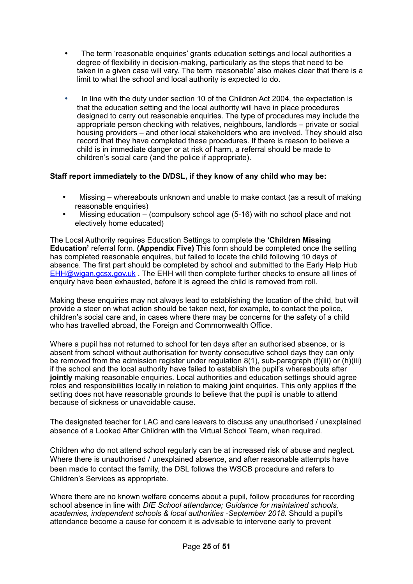- The term 'reasonable enquiries' grants education settings and local authorities a degree of flexibility in decision-making, particularly as the steps that need to be taken in a given case will vary. The term 'reasonable' also makes clear that there is a limit to what the school and local authority is expected to do.
- In line with the duty under section 10 of the Children Act 2004, the expectation is that the education setting and the local authority will have in place procedures designed to carry out reasonable enquiries. The type of procedures may include the appropriate person checking with relatives, neighbours, landlords – private or social housing providers – and other local stakeholders who are involved. They should also record that they have completed these procedures. If there is reason to believe a child is in immediate danger or at risk of harm, a referral should be made to children's social care (and the police if appropriate).

#### **Staff report immediately to the D/DSL, if they know of any child who may be:**

- Missing whereabouts unknown and unable to make contact (as a result of making reasonable enquiries)
- Missing education (compulsory school age (5-16) with no school place and not electively home educated)

The Local Authority requires Education Settings to complete the **'Children Missing Education'** referral form. **(Appendix Five)** This form should be completed once the setting has completed reasonable enquires, but failed to locate the child following 10 days of absence. The first part should be completed by school and submitted to the Early Help Hub [EHH@wigan.gcsx.gov.uk](mailto:EHH@wigan.gcsx.gov.uk) . The EHH will then complete further checks to ensure all lines of enquiry have been exhausted, before it is agreed the child is removed from roll.

Making these enquiries may not always lead to establishing the location of the child, but will provide a steer on what action should be taken next, for example, to contact the police, children's social care and, in cases where there may be concerns for the safety of a child who has travelled abroad, the Foreign and Commonwealth Office.

Where a pupil has not returned to school for ten days after an authorised absence, or is absent from school without authorisation for twenty consecutive school days they can only be removed from the admission register under regulation 8(1), sub-paragraph (f)(iii) or (h)(iii) if the school and the local authority have failed to establish the pupil's whereabouts after **jointly** making reasonable enquiries. Local authorities and education settings should agree roles and responsibilities locally in relation to making joint enquiries. This only applies if the setting does not have reasonable grounds to believe that the pupil is unable to attend because of sickness or unavoidable cause.

The designated teacher for LAC and care leavers to discuss any unauthorised / unexplained absence of a Looked After Children with the Virtual School Team, when required.

Children who do not attend school regularly can be at increased risk of abuse and neglect. Where there is unauthorised / unexplained absence, and after reasonable attempts have been made to contact the family, the DSL follows the WSCB procedure and refers to Children's Services as appropriate.

Where there are no known welfare concerns about a pupil, follow procedures for recording school absence in line with *DfE School attendance; Guidance for maintained schools, academies, independent schools & local authorities -September 2018.* Should a pupil's attendance become a cause for concern it is advisable to intervene early to prevent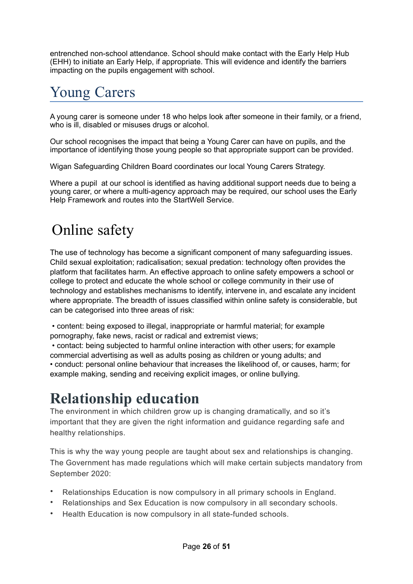entrenched non-school attendance. School should make contact with the Early Help Hub (EHH) to initiate an Early Help, if appropriate. This will evidence and identify the barriers impacting on the pupils engagement with school.

# Young Carers

A young carer is someone under 18 who helps look after someone in their family, or a friend, who is ill, disabled or misuses drugs or alcohol.

Our school recognises the impact that being a Young Carer can have on pupils, and the importance of identifying those young people so that appropriate support can be provided.

Wigan Safeguarding Children Board coordinates our local Young Carers Strategy.

Where a pupil at our school is identified as having additional support needs due to being a young carer, or where a multi-agency approach may be required, our school uses the Early Help Framework and routes into the StartWell Service.

# Online safety

The use of technology has become a significant component of many safeguarding issues. Child sexual exploitation; radicalisation; sexual predation: technology often provides the platform that facilitates harm. An effective approach to online safety empowers a school or college to protect and educate the whole school or college community in their use of technology and establishes mechanisms to identify, intervene in, and escalate any incident where appropriate. The breadth of issues classified within online safety is considerable, but can be categorised into three areas of risk:

 • content: being exposed to illegal, inappropriate or harmful material; for example pornography, fake news, racist or radical and extremist views;

 • contact: being subjected to harmful online interaction with other users; for example commercial advertising as well as adults posing as children or young adults; and • conduct: personal online behaviour that increases the likelihood of, or causes, harm; for example making, sending and receiving explicit images, or online bullying.

# **Relationship education**

The environment in which children grow up is changing dramatically, and so it's important that they are given the right information and guidance regarding safe and healthy relationships.

This is why the way young people are taught about sex and relationships is changing. The Government has made regulations which will make certain subjects mandatory from September 2020:

- Relationships Education is now compulsory in all primary schools in England.
- Relationships and Sex Education is now compulsory in all secondary schools.
- Health Education is now compulsory in all state-funded schools.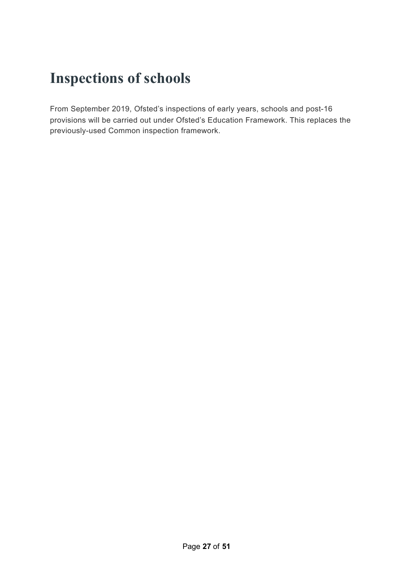# **Inspections of schools**

From September 2019, Ofsted's inspections of early years, schools and post-16 provisions will be carried out under Ofsted's Education Framework. This replaces the previously-used Common inspection framework.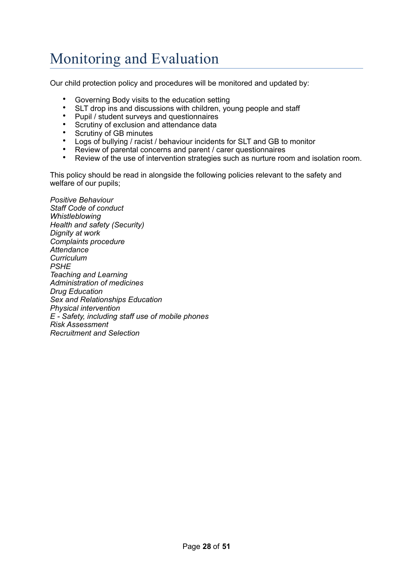# Monitoring and Evaluation

Our child protection policy and procedures will be monitored and updated by:

- Governing Body visits to the education setting<br>• SLT drop ins and discussions with obildrop vo
- SLT drop ins and discussions with children, young people and staff
- Pupil / student surveys and questionnaires<br>• Secution of exclusion and attendance data
- Scrutiny of exclusion and attendance data
- Scrutiny of GB minutes<br>• Logs of bullying / racist
- Logs of bullying / racist / behaviour incidents for SLT and GB to monitor<br>• Peview of parental concerns and parent / carer questionnaires
- Review of parental concerns and parent / carer questionnaires<br>• Boview of the use of intervention strategies such as purture rec
- Review of the use of intervention strategies such as nurture room and isolation room.

This policy should be read in alongside the following policies relevant to the safety and welfare of our pupils;

*Positive Behaviour Staff Code of conduct Whistleblowing Health and safety (Security) Dignity at work Complaints procedure Attendance Curriculum PSHE Teaching and Learning Administration of medicines Drug Education Sex and Relationships Education Physical intervention E - Safety, including staff use of mobile phones Risk Assessment Recruitment and Selection*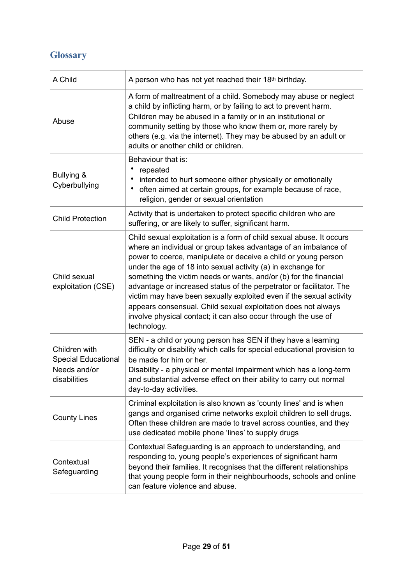### **Glossary**

| A Child                                                                     | A person who has not yet reached their 18th birthday.                                                                                                                                                                                                                                                                                                                                                                                                                                                                                                                                                                                           |
|-----------------------------------------------------------------------------|-------------------------------------------------------------------------------------------------------------------------------------------------------------------------------------------------------------------------------------------------------------------------------------------------------------------------------------------------------------------------------------------------------------------------------------------------------------------------------------------------------------------------------------------------------------------------------------------------------------------------------------------------|
| Abuse                                                                       | A form of maltreatment of a child. Somebody may abuse or neglect<br>a child by inflicting harm, or by failing to act to prevent harm.<br>Children may be abused in a family or in an institutional or<br>community setting by those who know them or, more rarely by<br>others (e.g. via the internet). They may be abused by an adult or<br>adults or another child or children.                                                                                                                                                                                                                                                               |
| Bullying &<br>Cyberbullying                                                 | Behaviour that is:<br>repeated<br>intended to hurt someone either physically or emotionally<br>often aimed at certain groups, for example because of race,<br>religion, gender or sexual orientation                                                                                                                                                                                                                                                                                                                                                                                                                                            |
| <b>Child Protection</b>                                                     | Activity that is undertaken to protect specific children who are<br>suffering, or are likely to suffer, significant harm.                                                                                                                                                                                                                                                                                                                                                                                                                                                                                                                       |
| Child sexual<br>exploitation (CSE)                                          | Child sexual exploitation is a form of child sexual abuse. It occurs<br>where an individual or group takes advantage of an imbalance of<br>power to coerce, manipulate or deceive a child or young person<br>under the age of 18 into sexual activity (a) in exchange for<br>something the victim needs or wants, and/or (b) for the financial<br>advantage or increased status of the perpetrator or facilitator. The<br>victim may have been sexually exploited even if the sexual activity<br>appears consensual. Child sexual exploitation does not always<br>involve physical contact; it can also occur through the use of<br>technology. |
| Children with<br><b>Special Educational</b><br>Needs and/or<br>disabilities | SEN - a child or young person has SEN if they have a learning<br>difficulty or disability which calls for special educational provision to<br>be made for him or her.<br>Disability - a physical or mental impairment which has a long-term<br>and substantial adverse effect on their ability to carry out normal<br>day-to-day activities.                                                                                                                                                                                                                                                                                                    |
| <b>County Lines</b>                                                         | Criminal exploitation is also known as 'county lines' and is when<br>gangs and organised crime networks exploit children to sell drugs.<br>Often these children are made to travel across counties, and they<br>use dedicated mobile phone 'lines' to supply drugs                                                                                                                                                                                                                                                                                                                                                                              |
| Contextual<br>Safeguarding                                                  | Contextual Safeguarding is an approach to understanding, and<br>responding to, young people's experiences of significant harm<br>beyond their families. It recognises that the different relationships<br>that young people form in their neighbourhoods, schools and online<br>can feature violence and abuse.                                                                                                                                                                                                                                                                                                                                 |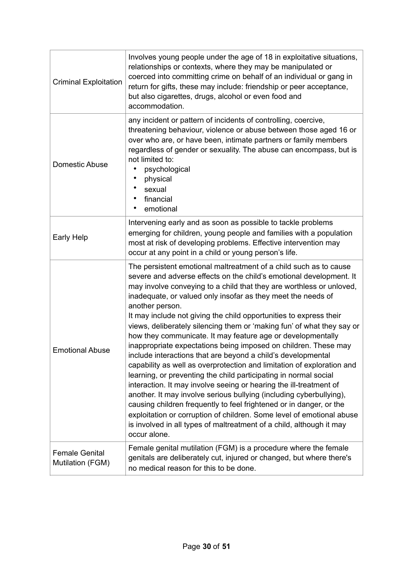| <b>Criminal Exploitation</b>              | Involves young people under the age of 18 in exploitative situations,<br>relationships or contexts, where they may be manipulated or<br>coerced into committing crime on behalf of an individual or gang in<br>return for gifts, these may include: friendship or peer acceptance,<br>but also cigarettes, drugs, alcohol or even food and<br>accommodation.                                                                                                                                                                                                                                                                                                                                                                                                                                                                                                                                                                                                                                                                                                                                                                                                                             |
|-------------------------------------------|------------------------------------------------------------------------------------------------------------------------------------------------------------------------------------------------------------------------------------------------------------------------------------------------------------------------------------------------------------------------------------------------------------------------------------------------------------------------------------------------------------------------------------------------------------------------------------------------------------------------------------------------------------------------------------------------------------------------------------------------------------------------------------------------------------------------------------------------------------------------------------------------------------------------------------------------------------------------------------------------------------------------------------------------------------------------------------------------------------------------------------------------------------------------------------------|
| Domestic Abuse                            | any incident or pattern of incidents of controlling, coercive,<br>threatening behaviour, violence or abuse between those aged 16 or<br>over who are, or have been, intimate partners or family members<br>regardless of gender or sexuality. The abuse can encompass, but is<br>not limited to:<br>psychological<br>physical<br>sexual<br>financial<br>emotional<br>$\bullet$                                                                                                                                                                                                                                                                                                                                                                                                                                                                                                                                                                                                                                                                                                                                                                                                            |
| Early Help                                | Intervening early and as soon as possible to tackle problems<br>emerging for children, young people and families with a population<br>most at risk of developing problems. Effective intervention may<br>occur at any point in a child or young person's life.                                                                                                                                                                                                                                                                                                                                                                                                                                                                                                                                                                                                                                                                                                                                                                                                                                                                                                                           |
| <b>Emotional Abuse</b>                    | The persistent emotional maltreatment of a child such as to cause<br>severe and adverse effects on the child's emotional development. It<br>may involve conveying to a child that they are worthless or unloved,<br>inadequate, or valued only insofar as they meet the needs of<br>another person.<br>It may include not giving the child opportunities to express their<br>views, deliberately silencing them or 'making fun' of what they say or<br>how they communicate. It may feature age or developmentally<br>inappropriate expectations being imposed on children. These may<br>include interactions that are beyond a child's developmental<br>capability as well as overprotection and limitation of exploration and<br>learning, or preventing the child participating in normal social<br>interaction. It may involve seeing or hearing the ill-treatment of<br>another. It may involve serious bullying (including cyberbullying),<br>causing children frequently to feel frightened or in danger, or the<br>exploitation or corruption of children. Some level of emotional abuse<br>is involved in all types of maltreatment of a child, although it may<br>occur alone. |
| <b>Female Genital</b><br>Mutilation (FGM) | Female genital mutilation (FGM) is a procedure where the female<br>genitals are deliberately cut, injured or changed, but where there's<br>no medical reason for this to be done.                                                                                                                                                                                                                                                                                                                                                                                                                                                                                                                                                                                                                                                                                                                                                                                                                                                                                                                                                                                                        |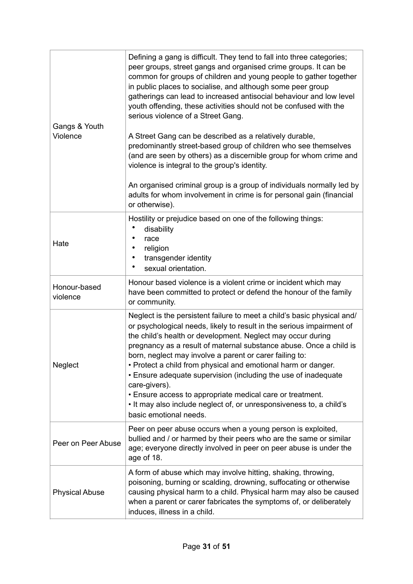| Gangs & Youth<br>Violence | Defining a gang is difficult. They tend to fall into three categories;<br>peer groups, street gangs and organised crime groups. It can be<br>common for groups of children and young people to gather together<br>in public places to socialise, and although some peer group<br>gatherings can lead to increased antisocial behaviour and low level<br>youth offending, these activities should not be confused with the<br>serious violence of a Street Gang.<br>A Street Gang can be described as a relatively durable,<br>predominantly street-based group of children who see themselves<br>(and are seen by others) as a discernible group for whom crime and<br>violence is integral to the group's identity.<br>An organised criminal group is a group of individuals normally led by<br>adults for whom involvement in crime is for personal gain (financial<br>or otherwise). |
|---------------------------|-----------------------------------------------------------------------------------------------------------------------------------------------------------------------------------------------------------------------------------------------------------------------------------------------------------------------------------------------------------------------------------------------------------------------------------------------------------------------------------------------------------------------------------------------------------------------------------------------------------------------------------------------------------------------------------------------------------------------------------------------------------------------------------------------------------------------------------------------------------------------------------------|
| Hate                      | Hostility or prejudice based on one of the following things:<br>disability<br>race<br>religion<br>transgender identity<br>٠<br>sexual orientation.                                                                                                                                                                                                                                                                                                                                                                                                                                                                                                                                                                                                                                                                                                                                      |
| Honour-based<br>violence  | Honour based violence is a violent crime or incident which may<br>have been committed to protect or defend the honour of the family<br>or community.                                                                                                                                                                                                                                                                                                                                                                                                                                                                                                                                                                                                                                                                                                                                    |
| Neglect                   | Neglect is the persistent failure to meet a child's basic physical and/<br>or psychological needs, likely to result in the serious impairment of<br>the child's health or development. Neglect may occur during<br>pregnancy as a result of maternal substance abuse. Once a child is<br>born, neglect may involve a parent or carer failing to:<br>• Protect a child from physical and emotional harm or danger.<br>• Ensure adequate supervision (including the use of inadequate<br>care-givers).<br>• Ensure access to appropriate medical care or treatment.<br>. It may also include neglect of, or unresponsiveness to, a child's<br>basic emotional needs.                                                                                                                                                                                                                      |
| Peer on Peer Abuse        | Peer on peer abuse occurs when a young person is exploited,<br>bullied and / or harmed by their peers who are the same or similar<br>age; everyone directly involved in peer on peer abuse is under the<br>age of 18.                                                                                                                                                                                                                                                                                                                                                                                                                                                                                                                                                                                                                                                                   |
| <b>Physical Abuse</b>     | A form of abuse which may involve hitting, shaking, throwing,<br>poisoning, burning or scalding, drowning, suffocating or otherwise<br>causing physical harm to a child. Physical harm may also be caused<br>when a parent or carer fabricates the symptoms of, or deliberately<br>induces, illness in a child.                                                                                                                                                                                                                                                                                                                                                                                                                                                                                                                                                                         |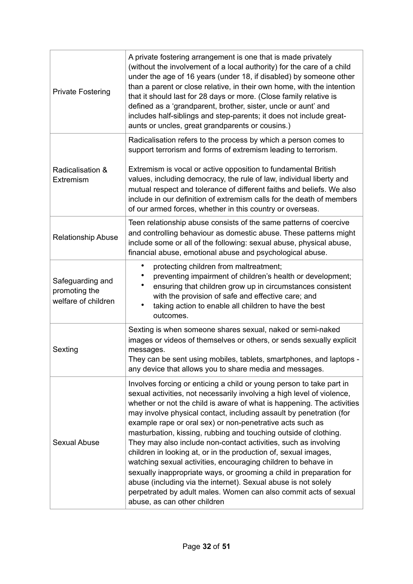| <b>Private Fostering</b>                                 | A private fostering arrangement is one that is made privately<br>(without the involvement of a local authority) for the care of a child<br>under the age of 16 years (under 18, if disabled) by someone other<br>than a parent or close relative, in their own home, with the intention<br>that it should last for 28 days or more. (Close family relative is<br>defined as a 'grandparent, brother, sister, uncle or aunt' and<br>includes half-siblings and step-parents; it does not include great-<br>aunts or uncles, great grandparents or cousins.)                                                                                                                                                                                                                                                                                                                           |
|----------------------------------------------------------|--------------------------------------------------------------------------------------------------------------------------------------------------------------------------------------------------------------------------------------------------------------------------------------------------------------------------------------------------------------------------------------------------------------------------------------------------------------------------------------------------------------------------------------------------------------------------------------------------------------------------------------------------------------------------------------------------------------------------------------------------------------------------------------------------------------------------------------------------------------------------------------|
| Radicalisation &<br>Extremism                            | Radicalisation refers to the process by which a person comes to<br>support terrorism and forms of extremism leading to terrorism.<br>Extremism is vocal or active opposition to fundamental British<br>values, including democracy, the rule of law, individual liberty and<br>mutual respect and tolerance of different faiths and beliefs. We also<br>include in our definition of extremism calls for the death of members<br>of our armed forces, whether in this country or overseas.                                                                                                                                                                                                                                                                                                                                                                                           |
| <b>Relationship Abuse</b>                                | Teen relationship abuse consists of the same patterns of coercive<br>and controlling behaviour as domestic abuse. These patterns might<br>include some or all of the following: sexual abuse, physical abuse,<br>financial abuse, emotional abuse and psychological abuse.                                                                                                                                                                                                                                                                                                                                                                                                                                                                                                                                                                                                           |
| Safeguarding and<br>promoting the<br>welfare of children | $\bullet$<br>protecting children from maltreatment;<br>preventing impairment of children's health or development;<br>ensuring that children grow up in circumstances consistent<br>with the provision of safe and effective care; and<br>taking action to enable all children to have the best<br>٠<br>outcomes.                                                                                                                                                                                                                                                                                                                                                                                                                                                                                                                                                                     |
| Sexting                                                  | Sexting is when someone shares sexual, naked or semi-naked<br>images or videos of themselves or others, or sends sexually explicit<br>messages.<br>They can be sent using mobiles, tablets, smartphones, and laptops -<br>any device that allows you to share media and messages.                                                                                                                                                                                                                                                                                                                                                                                                                                                                                                                                                                                                    |
| Sexual Abuse                                             | Involves forcing or enticing a child or young person to take part in<br>sexual activities, not necessarily involving a high level of violence,<br>whether or not the child is aware of what is happening. The activities<br>may involve physical contact, including assault by penetration (for<br>example rape or oral sex) or non-penetrative acts such as<br>masturbation, kissing, rubbing and touching outside of clothing.<br>They may also include non-contact activities, such as involving<br>children in looking at, or in the production of, sexual images,<br>watching sexual activities, encouraging children to behave in<br>sexually inappropriate ways, or grooming a child in preparation for<br>abuse (including via the internet). Sexual abuse is not solely<br>perpetrated by adult males. Women can also commit acts of sexual<br>abuse, as can other children |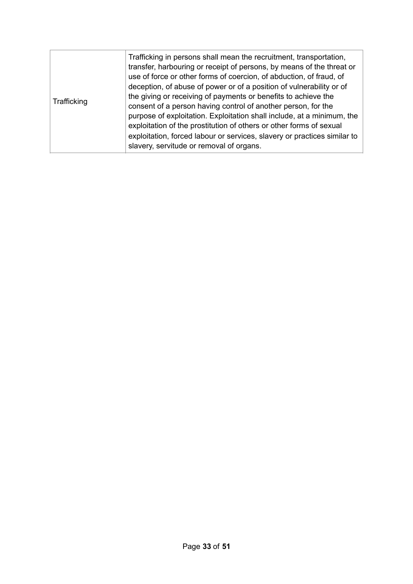| Trafficking | Trafficking in persons shall mean the recruitment, transportation,<br>transfer, harbouring or receipt of persons, by means of the threat or<br>use of force or other forms of coercion, of abduction, of fraud, of<br>deception, of abuse of power or of a position of vulnerability or of<br>the giving or receiving of payments or benefits to achieve the<br>consent of a person having control of another person, for the<br>purpose of exploitation. Exploitation shall include, at a minimum, the<br>exploitation of the prostitution of others or other forms of sexual<br>exploitation, forced labour or services, slavery or practices similar to<br>slavery, servitude or removal of organs. |
|-------------|--------------------------------------------------------------------------------------------------------------------------------------------------------------------------------------------------------------------------------------------------------------------------------------------------------------------------------------------------------------------------------------------------------------------------------------------------------------------------------------------------------------------------------------------------------------------------------------------------------------------------------------------------------------------------------------------------------|
|-------------|--------------------------------------------------------------------------------------------------------------------------------------------------------------------------------------------------------------------------------------------------------------------------------------------------------------------------------------------------------------------------------------------------------------------------------------------------------------------------------------------------------------------------------------------------------------------------------------------------------------------------------------------------------------------------------------------------------|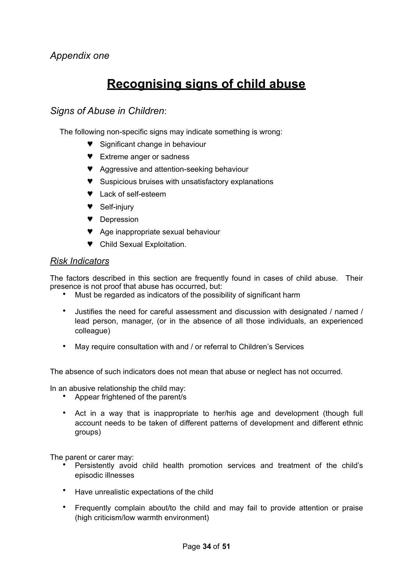## **Recognising signs of child abuse**

### *Signs of Abuse in Children*:

The following non-specific signs may indicate something is wrong:

- ♥ Significant change in behaviour
- ♥ Extreme anger or sadness
- ♥ Aggressive and attention-seeking behaviour
- ♥ Suspicious bruises with unsatisfactory explanations
- ♥ Lack of self-esteem
- ♥ Self-injury
- ♥ Depression
- ♥ Age inappropriate sexual behaviour
- ♥ Child Sexual Exploitation.

#### *Risk Indicators*

The factors described in this section are frequently found in cases of child abuse. Their presence is not proof that abuse has occurred, but:

- Must be regarded as indicators of the possibility of significant harm
- Justifies the need for careful assessment and discussion with designated / named / lead person, manager, (or in the absence of all those individuals, an experienced colleague)
- May require consultation with and / or referral to Children's Services

The absence of such indicators does not mean that abuse or neglect has not occurred.

In an abusive relationship the child may:

- Appear frightened of the parent/s
- Act in a way that is inappropriate to her/his age and development (though full account needs to be taken of different patterns of development and different ethnic groups)

The parent or carer may:

- Persistently avoid child health promotion services and treatment of the child's episodic illnesses
- Have unrealistic expectations of the child
- Frequently complain about/to the child and may fail to provide attention or praise (high criticism/low warmth environment)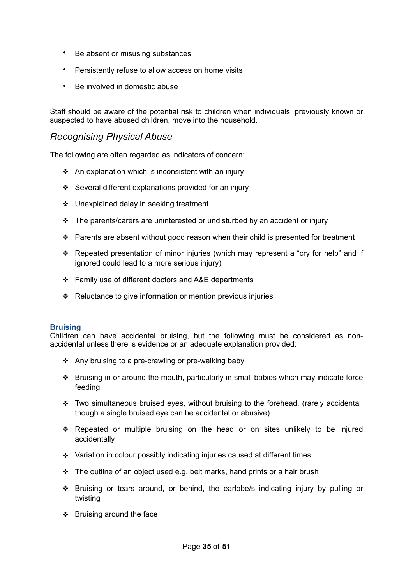- Be absent or misusing substances
- Persistently refuse to allow access on home visits
- Be involved in domestic abuse

Staff should be aware of the potential risk to children when individuals, previously known or suspected to have abused children, move into the household.

### *Recognising Physical Abuse*

The following are often regarded as indicators of concern:

- ❖ An explanation which is inconsistent with an injury
- ❖ Several different explanations provided for an injury
- ❖ Unexplained delay in seeking treatment
- ❖ The parents/carers are uninterested or undisturbed by an accident or injury
- ❖ Parents are absent without good reason when their child is presented for treatment
- ❖ Repeated presentation of minor injuries (which may represent a "cry for help" and if ignored could lead to a more serious injury)
- ❖ Family use of different doctors and A&E departments
- ❖ Reluctance to give information or mention previous injuries

#### **Bruising**

Children can have accidental bruising, but the following must be considered as nonaccidental unless there is evidence or an adequate explanation provided:

- ❖ Any bruising to a pre-crawling or pre-walking baby
- ❖ Bruising in or around the mouth, particularly in small babies which may indicate force feeding
- ❖ Two simultaneous bruised eyes, without bruising to the forehead, (rarely accidental, though a single bruised eye can be accidental or abusive)
- ❖ Repeated or multiple bruising on the head or on sites unlikely to be injured accidentally
- ❖ Variation in colour possibly indicating injuries caused at different times
- ❖ The outline of an object used e.g. belt marks, hand prints or a hair brush
- ❖ Bruising or tears around, or behind, the earlobe/s indicating injury by pulling or twisting
- ❖ Bruising around the face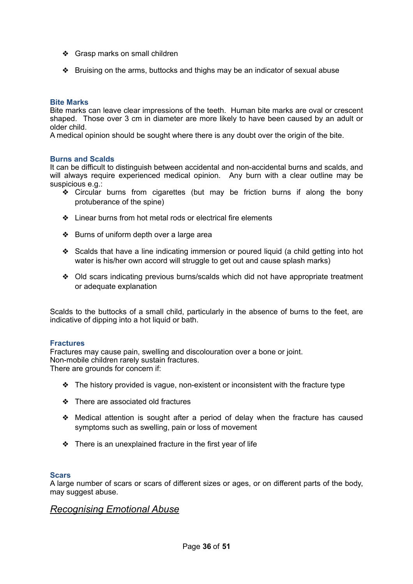- ❖ Grasp marks on small children
- ❖ Bruising on the arms, buttocks and thighs may be an indicator of sexual abuse

#### **Bite Marks**

Bite marks can leave clear impressions of the teeth. Human bite marks are oval or crescent shaped. Those over 3 cm in diameter are more likely to have been caused by an adult or older child.

A medical opinion should be sought where there is any doubt over the origin of the bite.

#### **Burns and Scalds**

It can be difficult to distinguish between accidental and non-accidental burns and scalds, and will always require experienced medical opinion. Any burn with a clear outline may be suspicious e.g.:

- ❖ Circular burns from cigarettes (but may be friction burns if along the bony protuberance of the spine)
- ❖ Linear burns from hot metal rods or electrical fire elements
- ❖ Burns of uniform depth over a large area
- ❖ Scalds that have a line indicating immersion or poured liquid (a child getting into hot water is his/her own accord will struggle to get out and cause splash marks)
- ❖ Old scars indicating previous burns/scalds which did not have appropriate treatment or adequate explanation

Scalds to the buttocks of a small child, particularly in the absence of burns to the feet, are indicative of dipping into a hot liquid or bath.

#### **Fractures**

Fractures may cause pain, swelling and discolouration over a bone or joint. Non-mobile children rarely sustain fractures. There are grounds for concern if:

- ❖ The history provided is vague, non-existent or inconsistent with the fracture type
- ❖ There are associated old fractures
- ❖ Medical attention is sought after a period of delay when the fracture has caused symptoms such as swelling, pain or loss of movement
- ❖ There is an unexplained fracture in the first year of life

#### **Scars**

A large number of scars or scars of different sizes or ages, or on different parts of the body, may suggest abuse.

#### *Recognising Emotional Abuse*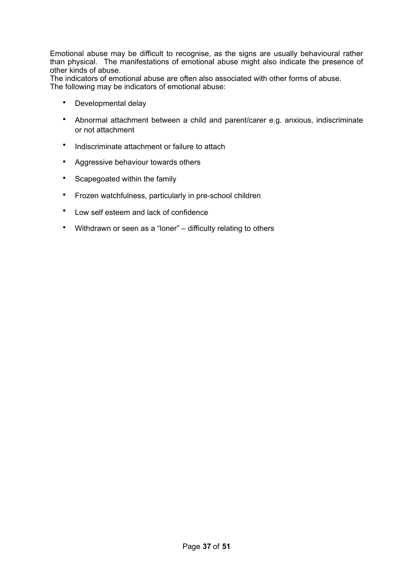Emotional abuse may be difficult to recognise, as the signs are usually behavioural rather than physical. The manifestations of emotional abuse might also indicate the presence of other kinds of abuse.

The indicators of emotional abuse are often also associated with other forms of abuse. The following may be indicators of emotional abuse:

- Developmental delay
- Abnormal attachment between a child and parent/carer e.g. anxious, indiscriminate or not attachment
- Indiscriminate attachment or failure to attach
- Aggressive behaviour towards others
- Scapegoated within the family
- Frozen watchfulness, particularly in pre-school children
- Low self esteem and lack of confidence
- Withdrawn or seen as a "loner" difficulty relating to others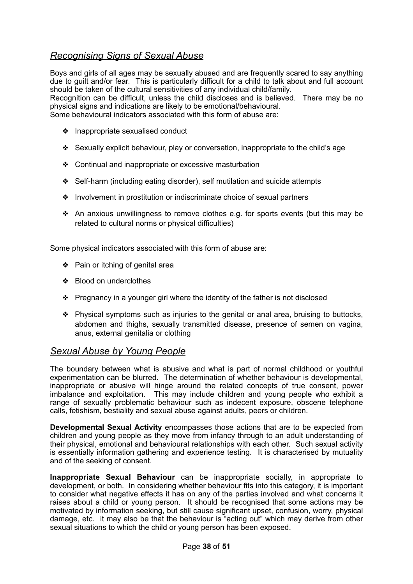### *Recognising Signs of Sexual Abuse*

Boys and girls of all ages may be sexually abused and are frequently scared to say anything due to guilt and/or fear. This is particularly difficult for a child to talk about and full account should be taken of the cultural sensitivities of any individual child/family. Recognition can be difficult, unless the child discloses and is believed. There may be no physical signs and indications are likely to be emotional/behavioural. Some behavioural indicators associated with this form of abuse are:

- ❖ Inappropriate sexualised conduct
- ❖ Sexually explicit behaviour, play or conversation, inappropriate to the child's age
- ❖ Continual and inappropriate or excessive masturbation
- ❖ Self-harm (including eating disorder), self mutilation and suicide attempts
- ❖ Involvement in prostitution or indiscriminate choice of sexual partners
- ❖ An anxious unwillingness to remove clothes e.g. for sports events (but this may be related to cultural norms or physical difficulties)

Some physical indicators associated with this form of abuse are:

- ❖ Pain or itching of genital area
- ❖ Blood on underclothes
- ❖ Pregnancy in a younger girl where the identity of the father is not disclosed
- ❖ Physical symptoms such as injuries to the genital or anal area, bruising to buttocks, abdomen and thighs, sexually transmitted disease, presence of semen on vagina, anus, external genitalia or clothing

### *Sexual Abuse by Young People*

The boundary between what is abusive and what is part of normal childhood or youthful experimentation can be blurred. The determination of whether behaviour is developmental, inappropriate or abusive will hinge around the related concepts of true consent, power imbalance and exploitation. This may include children and young people who exhibit a range of sexually problematic behaviour such as indecent exposure, obscene telephone calls, fetishism, bestiality and sexual abuse against adults, peers or children.

**Developmental Sexual Activity** encompasses those actions that are to be expected from children and young people as they move from infancy through to an adult understanding of their physical, emotional and behavioural relationships with each other. Such sexual activity is essentially information gathering and experience testing. It is characterised by mutuality and of the seeking of consent.

**Inappropriate Sexual Behaviour** can be inappropriate socially, in appropriate to development, or both. In considering whether behaviour fits into this category, it is important to consider what negative effects it has on any of the parties involved and what concerns it raises about a child or young person. It should be recognised that some actions may be motivated by information seeking, but still cause significant upset, confusion, worry, physical damage, etc. it may also be that the behaviour is "acting out" which may derive from other sexual situations to which the child or young person has been exposed.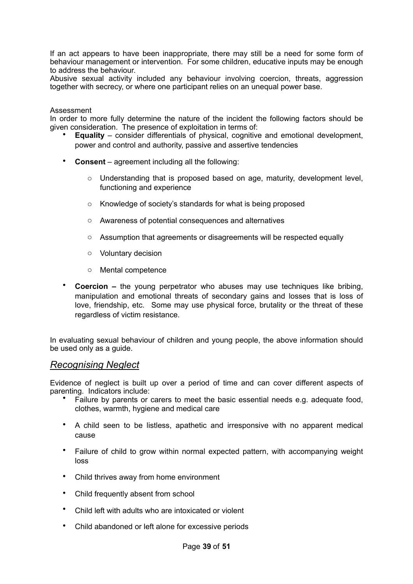If an act appears to have been inappropriate, there may still be a need for some form of behaviour management or intervention. For some children, educative inputs may be enough to address the behaviour.

Abusive sexual activity included any behaviour involving coercion, threats, aggression together with secrecy, or where one participant relies on an unequal power base.

#### Assessment

In order to more fully determine the nature of the incident the following factors should be given consideration. The presence of exploitation in terms of:

- **Equality**  consider differentials of physical, cognitive and emotional development, power and control and authority, passive and assertive tendencies
- **Consent** agreement including all the following:
	- o Understanding that is proposed based on age, maturity, development level, functioning and experience
	- o Knowledge of society's standards for what is being proposed
	- o Awareness of potential consequences and alternatives
	- $\circ$  Assumption that agreements or disagreements will be respected equally
	- o Voluntary decision
	- o Mental competence
- **Coercion –** the young perpetrator who abuses may use techniques like bribing, manipulation and emotional threats of secondary gains and losses that is loss of love, friendship, etc. Some may use physical force, brutality or the threat of these regardless of victim resistance.

In evaluating sexual behaviour of children and young people, the above information should be used only as a guide.

#### *Recognising Neglect*

Evidence of neglect is built up over a period of time and can cover different aspects of parenting. Indicators include:

- Failure by parents or carers to meet the basic essential needs e.g. adequate food, clothes, warmth, hygiene and medical care
- A child seen to be listless, apathetic and irresponsive with no apparent medical cause
- Failure of child to grow within normal expected pattern, with accompanying weight loss
- Child thrives away from home environment
- Child frequently absent from school
- Child left with adults who are intoxicated or violent
- Child abandoned or left alone for excessive periods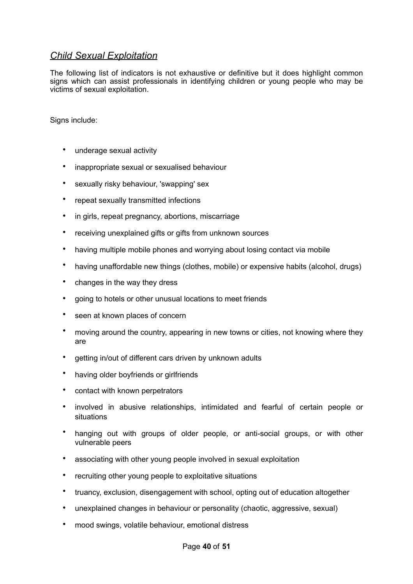### *Child Sexual Exploitation*

The following list of indicators is not exhaustive or definitive but it does highlight common signs which can assist professionals in identifying children or young people who may be victims of sexual exploitation.

Signs include:

- underage sexual activity
- inappropriate sexual or sexualised behaviour
- sexually risky behaviour, 'swapping' sex
- repeat sexually transmitted infections
- in girls, repeat pregnancy, abortions, miscarriage
- receiving unexplained gifts or gifts from unknown sources
- having multiple mobile phones and worrying about losing contact via mobile
- having unaffordable new things (clothes, mobile) or expensive habits (alcohol, drugs)
- changes in the way they dress
- going to hotels or other unusual locations to meet friends
- seen at known places of concern
- moving around the country, appearing in new towns or cities, not knowing where they are
- getting in/out of different cars driven by unknown adults
- having older boyfriends or girlfriends
- contact with known perpetrators
- involved in abusive relationships, intimidated and fearful of certain people or situations
- hanging out with groups of older people, or anti-social groups, or with other vulnerable peers
- associating with other young people involved in sexual exploitation
- recruiting other young people to exploitative situations
- truancy, exclusion, disengagement with school, opting out of education altogether
- unexplained changes in behaviour or personality (chaotic, aggressive, sexual)
- mood swings, volatile behaviour, emotional distress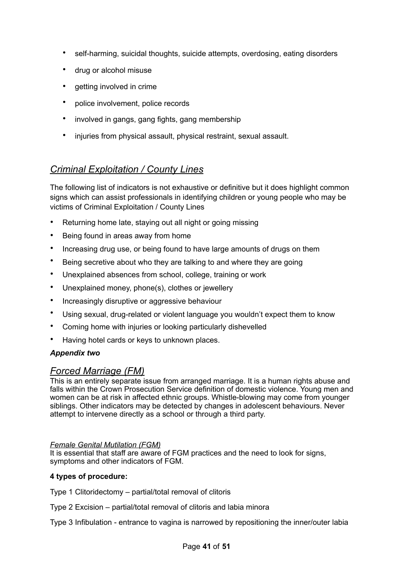- self-harming, suicidal thoughts, suicide attempts, overdosing, eating disorders
- drug or alcohol misuse
- getting involved in crime
- police involvement, police records
- involved in gangs, gang fights, gang membership
- injuries from physical assault, physical restraint, sexual assault.

### *Criminal Exploitation / County Lines*

The following list of indicators is not exhaustive or definitive but it does highlight common signs which can assist professionals in identifying children or young people who may be victims of Criminal Exploitation / County Lines

- Returning home late, staying out all night or going missing
- Being found in areas away from home
- Increasing drug use, or being found to have large amounts of drugs on them
- Being secretive about who they are talking to and where they are going
- Unexplained absences from school, college, training or work
- Unexplained money, phone(s), clothes or jewellery
- Increasingly disruptive or aggressive behaviour
- Using sexual, drug-related or violent language you wouldn't expect them to know
- Coming home with injuries or looking particularly dishevelled
- Having hotel cards or keys to unknown places.

#### *Appendix two*

### *Forced Marriage (FM)*

This is an entirely separate issue from arranged marriage. It is a human rights abuse and falls within the Crown Prosecution Service definition of domestic violence. Young men and women can be at risk in affected ethnic groups. Whistle-blowing may come from younger siblings. Other indicators may be detected by changes in adolescent behaviours. Never attempt to intervene directly as a school or through a third party.

#### *Female Genital Mutilation (FGM)*

It is essential that staff are aware of FGM practices and the need to look for signs, symptoms and other indicators of FGM.

#### **4 types of procedure:**

Type 1 Clitoridectomy – partial/total removal of clitoris

Type 2 Excision – partial/total removal of clitoris and labia minora

Type 3 Infibulation - entrance to vagina is narrowed by repositioning the inner/outer labia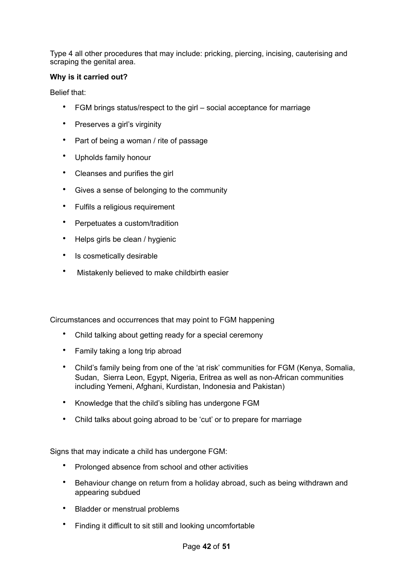Type 4 all other procedures that may include: pricking, piercing, incising, cauterising and scraping the genital area.

#### **Why is it carried out?**

Belief that:

- FGM brings status/respect to the girl social acceptance for marriage
- Preserves a girl's virginity
- Part of being a woman / rite of passage
- Upholds family honour
- Cleanses and purifies the girl
- Gives a sense of belonging to the community
- Fulfils a religious requirement
- Perpetuates a custom/tradition
- Helps girls be clean / hygienic
- Is cosmetically desirable
- Mistakenly believed to make childbirth easier

Circumstances and occurrences that may point to FGM happening

- Child talking about getting ready for a special ceremony
- Family taking a long trip abroad
- Child's family being from one of the 'at risk' communities for FGM (Kenya, Somalia, Sudan, Sierra Leon, Egypt, Nigeria, Eritrea as well as non-African communities including Yemeni, Afghani, Kurdistan, Indonesia and Pakistan)
- Knowledge that the child's sibling has undergone FGM
- Child talks about going abroad to be 'cut' or to prepare for marriage

Signs that may indicate a child has undergone FGM:

- Prolonged absence from school and other activities
- Behaviour change on return from a holiday abroad, such as being withdrawn and appearing subdued
- Bladder or menstrual problems
- Finding it difficult to sit still and looking uncomfortable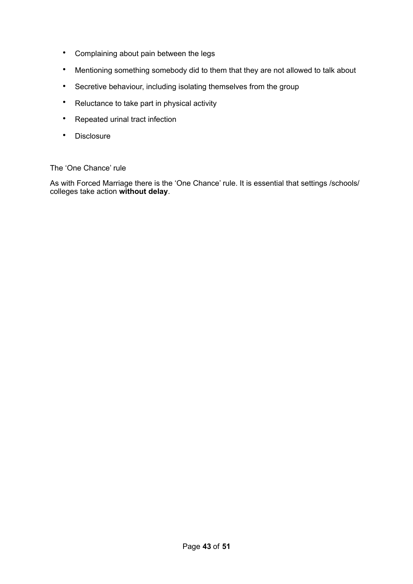- Complaining about pain between the legs
- Mentioning something somebody did to them that they are not allowed to talk about
- Secretive behaviour, including isolating themselves from the group
- Reluctance to take part in physical activity
- Repeated urinal tract infection
- Disclosure

The 'One Chance' rule

As with Forced Marriage there is the 'One Chance' rule. It is essential that settings /schools/ colleges take action **without delay**.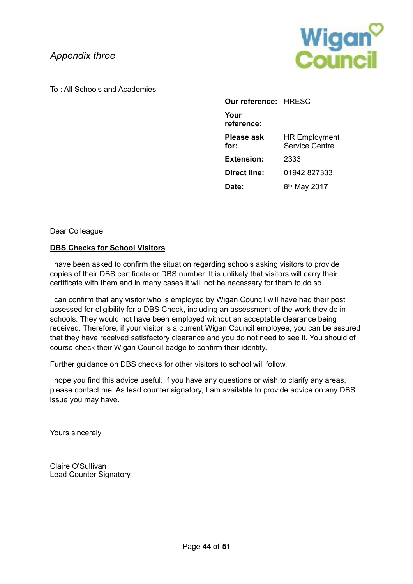### *Appendix three*

**Wigan<sup>o</sup>**<br>Council

To : All Schools and Academies

| <b>Our reference: HRESC</b> |                                               |
|-----------------------------|-----------------------------------------------|
| Your<br>reference:          |                                               |
| Please ask<br>for:          | <b>HR Employment</b><br><b>Service Centre</b> |
| <b>Extension:</b>           | 2333                                          |
| Direct line:                | 01942 827333                                  |
| Date:                       | 8 <sup>th</sup> May 2017                      |

Dear Colleague

#### **DBS Checks for School Visitors**

I have been asked to confirm the situation regarding schools asking visitors to provide copies of their DBS certificate or DBS number. It is unlikely that visitors will carry their certificate with them and in many cases it will not be necessary for them to do so.

I can confirm that any visitor who is employed by Wigan Council will have had their post assessed for eligibility for a DBS Check, including an assessment of the work they do in schools. They would not have been employed without an acceptable clearance being received. Therefore, if your visitor is a current Wigan Council employee, you can be assured that they have received satisfactory clearance and you do not need to see it. You should of course check their Wigan Council badge to confirm their identity.

Further guidance on DBS checks for other visitors to school will follow.

I hope you find this advice useful. If you have any questions or wish to clarify any areas, please contact me. As lead counter signatory, I am available to provide advice on any DBS issue you may have.

Yours sincerely

Claire O'Sullivan Lead Counter Signatory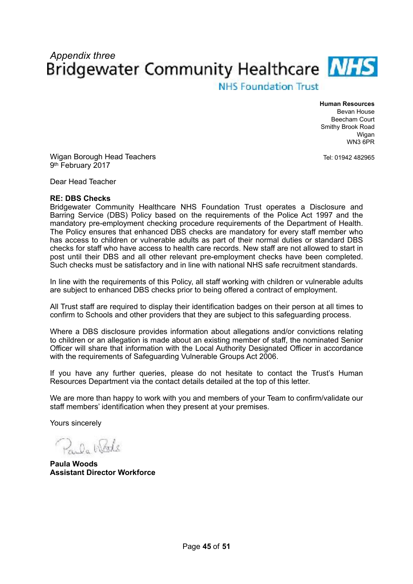# *Appendix three*<br>Bridgewater Community Healthcare **NHS**

**NHS Foundation Trust** 

**Human Resources**  Bevan House Beecham Court Smithy Brook Road Wigan WN3 6PR

Tel: 01942 482965

Wigan Borough Head Teachers 9th February 2017

Dear Head Teacher

#### **RE: DBS Checks**

Bridgewater Community Healthcare NHS Foundation Trust operates a Disclosure and Barring Service (DBS) Policy based on the requirements of the Police Act 1997 and the mandatory pre-employment checking procedure requirements of the Department of Health. The Policy ensures that enhanced DBS checks are mandatory for every staff member who has access to children or vulnerable adults as part of their normal duties or standard DBS checks for staff who have access to health care records. New staff are not allowed to start in post until their DBS and all other relevant pre-employment checks have been completed. Such checks must be satisfactory and in line with national NHS safe recruitment standards.

In line with the requirements of this Policy, all staff working with children or vulnerable adults are subject to enhanced DBS checks prior to being offered a contract of employment.

All Trust staff are required to display their identification badges on their person at all times to confirm to Schools and other providers that they are subject to this safeguarding process.

Where a DBS disclosure provides information about allegations and/or convictions relating to children or an allegation is made about an existing member of staff, the nominated Senior Officer will share that information with the Local Authority Designated Officer in accordance with the requirements of Safeguarding Vulnerable Groups Act 2006.

If you have any further queries, please do not hesitate to contact the Trust's Human Resources Department via the contact details detailed at the top of this letter.

We are more than happy to work with you and members of your Team to confirm/validate our staff members' identification when they present at your premises.

Yours sincerely

Pri On Works

**Paula Woods Assistant Director Workforce**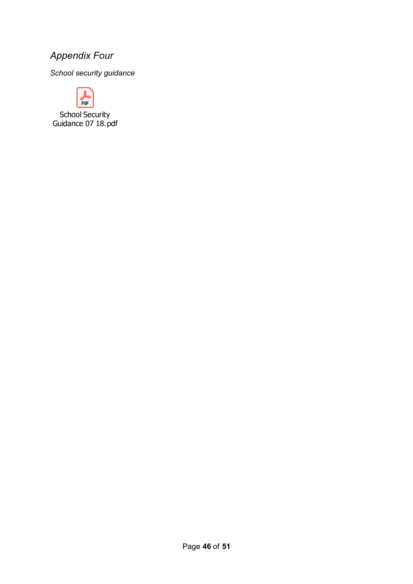### *Appendix Four*

*School security guidance* 



School Security Guidance 07 18.pdf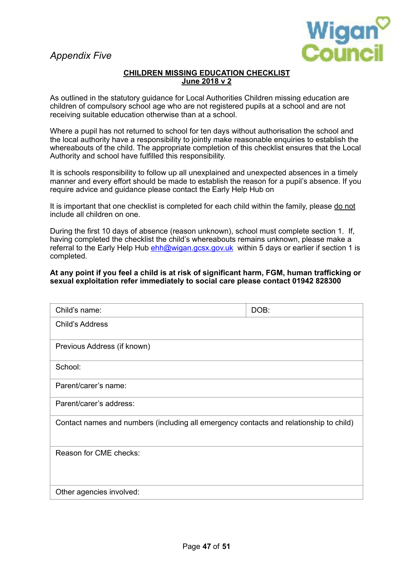*Appendix Five* 



#### **CHILDREN MISSING EDUCATION CHECKLIST June 2018 v 2**

As outlined in the statutory guidance for Local Authorities Children missing education are children of compulsory school age who are not registered pupils at a school and are not receiving suitable education otherwise than at a school.

Where a pupil has not returned to school for ten days without authorisation the school and the local authority have a responsibility to jointly make reasonable enquiries to establish the whereabouts of the child. The appropriate completion of this checklist ensures that the Local Authority and school have fulfilled this responsibility.

It is schools responsibility to follow up all unexplained and unexpected absences in a timely manner and every effort should be made to establish the reason for a pupil's absence. If you require advice and guidance please contact the Early Help Hub on

It is important that one checklist is completed for each child within the family, please do not include all children on one.

During the first 10 days of absence (reason unknown), school must complete section 1. If, having completed the checklist the child's whereabouts remains unknown, please make a referral to the Early Help Hub [ehh@wigan.gcsx.gov.uk](mailto:ehh@wigan.gcsx.gov.uk) within 5 days or earlier if section 1 is completed.

#### **At any point if you feel a child is at risk of significant harm, FGM, human trafficking or sexual exploitation refer immediately to social care please contact 01942 828300**

| Child's name:                                                                          | DOB: |
|----------------------------------------------------------------------------------------|------|
| <b>Child's Address</b>                                                                 |      |
| Previous Address (if known)                                                            |      |
| School:                                                                                |      |
| Parent/carer's name:                                                                   |      |
| Parent/carer's address:                                                                |      |
| Contact names and numbers (including all emergency contacts and relationship to child) |      |
| Reason for CME checks:                                                                 |      |
| Other agencies involved:                                                               |      |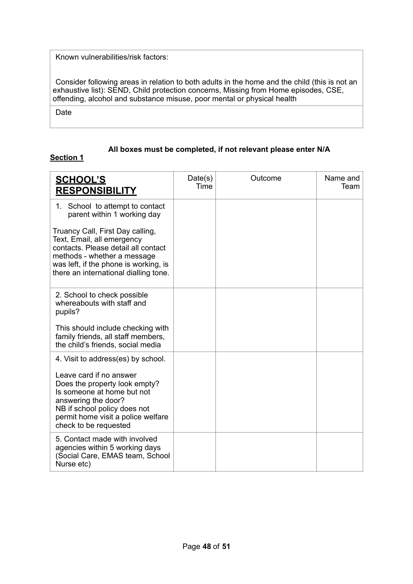Known vulnerabilities/risk factors:

Consider following areas in relation to both adults in the home and the child (this is not an exhaustive list): SEND, Child protection concerns, Missing from Home episodes, CSE, offending, alcohol and substance misuse, poor mental or physical health

Date

#### **All boxes must be completed, if not relevant please enter N/A**

### **Section 1**

| <u>SCHOOL'S</u><br><b>RESPONSIBILITY</b>                                                                                                                                                                                                           | Date(s)<br>Time | Outcome | Name and<br>Team |
|----------------------------------------------------------------------------------------------------------------------------------------------------------------------------------------------------------------------------------------------------|-----------------|---------|------------------|
| 1. School to attempt to contact<br>parent within 1 working day                                                                                                                                                                                     |                 |         |                  |
| Truancy Call, First Day calling,<br>Text, Email, all emergency<br>contacts. Please detail all contact<br>methods - whether a message<br>was left, if the phone is working, is<br>there an international dialling tone.                             |                 |         |                  |
| 2. School to check possible<br>whereabouts with staff and<br>pupils?                                                                                                                                                                               |                 |         |                  |
| This should include checking with<br>family friends, all staff members,<br>the child's friends, social media                                                                                                                                       |                 |         |                  |
| 4. Visit to address(es) by school.<br>Leave card if no answer<br>Does the property look empty?<br>Is someone at home but not<br>answering the door?<br>NB if school policy does not<br>permit home visit a police welfare<br>check to be requested |                 |         |                  |
| 5. Contact made with involved<br>agencies within 5 working days<br>(Social Care, EMAS team, School<br>Nurse etc)                                                                                                                                   |                 |         |                  |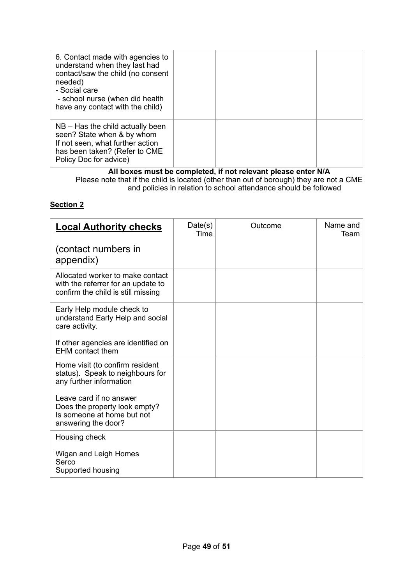| 6. Contact made with agencies to<br>understand when they last had<br>contact/saw the child (no consent<br>needed)<br>- Social care<br>- school nurse (when did health<br>have any contact with the child) |  |  |
|-----------------------------------------------------------------------------------------------------------------------------------------------------------------------------------------------------------|--|--|
| $NB - Has$ the child actually been<br>seen? State when & by whom<br>If not seen, what further action<br>has been taken? (Refer to CME<br>Policy Doc for advice)                                           |  |  |

#### **All boxes must be completed, if not relevant please enter N/A**  Please note that if the child is located (other than out of borough) they are not a CME and policies in relation to school attendance should be followed

### **Section 2**

| <b>Local Authority checks</b>                                                                                 | Date(s)<br>Time | Outcome | Name and<br>Team |
|---------------------------------------------------------------------------------------------------------------|-----------------|---------|------------------|
| (contact numbers in<br>appendix)                                                                              |                 |         |                  |
| Allocated worker to make contact<br>with the referrer for an update to<br>confirm the child is still missing  |                 |         |                  |
| Early Help module check to<br>understand Early Help and social<br>care activity.                              |                 |         |                  |
| If other agencies are identified on<br><b>EHM</b> contact them                                                |                 |         |                  |
| Home visit (to confirm resident<br>status). Speak to neighbours for<br>any further information                |                 |         |                  |
| Leave card if no answer<br>Does the property look empty?<br>Is someone at home but not<br>answering the door? |                 |         |                  |
| Housing check                                                                                                 |                 |         |                  |
| Wigan and Leigh Homes<br>Serco<br>Supported housing                                                           |                 |         |                  |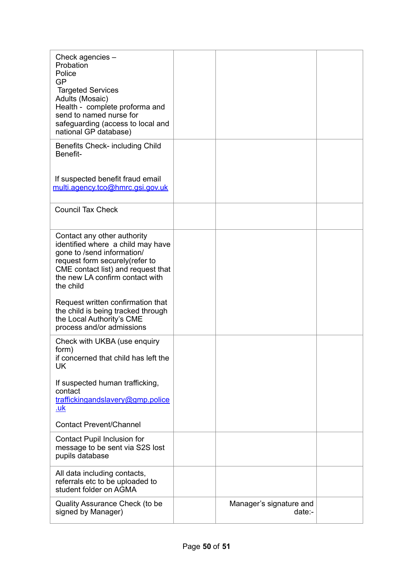| Check agencies -<br>Probation<br>Police<br>GP<br><b>Targeted Services</b><br>Adults (Mosaic)<br>Health - complete proforma and<br>send to named nurse for<br>safeguarding (access to local and<br>national GP database) |                                     |  |
|-------------------------------------------------------------------------------------------------------------------------------------------------------------------------------------------------------------------------|-------------------------------------|--|
| Benefits Check- including Child<br>Benefit-                                                                                                                                                                             |                                     |  |
| If suspected benefit fraud email<br>multi.agency.tco@hmrc.gsi.gov.uk                                                                                                                                                    |                                     |  |
| <b>Council Tax Check</b>                                                                                                                                                                                                |                                     |  |
| Contact any other authority<br>identified where a child may have<br>gone to /send information/<br>request form securely(refer to<br>CME contact list) and request that<br>the new LA confirm contact with<br>the child  |                                     |  |
| Request written confirmation that<br>the child is being tracked through<br>the Local Authority's CME<br>process and/or admissions                                                                                       |                                     |  |
| Check with UKBA (use enquiry<br>form)<br>if concerned that child has left the<br>UK                                                                                                                                     |                                     |  |
| If suspected human trafficking,<br>contact<br>traffickingandslavery@gmp.police<br><u>.uk</u>                                                                                                                            |                                     |  |
| <b>Contact Prevent/Channel</b>                                                                                                                                                                                          |                                     |  |
| Contact Pupil Inclusion for<br>message to be sent via S2S lost<br>pupils database                                                                                                                                       |                                     |  |
| All data including contacts,<br>referrals etc to be uploaded to<br>student folder on AGMA                                                                                                                               |                                     |  |
| Quality Assurance Check (to be<br>signed by Manager)                                                                                                                                                                    | Manager's signature and<br>$date:-$ |  |